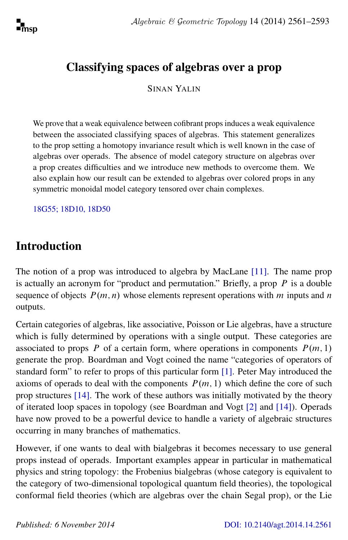## Classifying spaces of algebras over a prop

SINAN YALIN

We prove that a weak equivalence between cofibrant props induces a weak equivalence between the associated classifying spaces of algebras. This statement generalizes to the prop setting a homotopy invariance result which is well known in the case of algebras over operads. The absence of model category structure on algebras over a prop creates difficulties and we introduce new methods to overcome them. We also explain how our result can be extended to algebras over colored props in any symmetric monoidal model category tensored over chain complexes.

[18G55; 18D10, 18D50](http://www.ams.org/mathscinet/search/mscdoc.html?code=18G55, 18D10, 18D50)

# Introduction

The notion of a prop was introduced to algebra by MacLane [\[11\]](#page-32-0). The name prop is actually an acronym for "product and permutation." Briefly, a prop  $P$  is a double sequence of objects  $P(m, n)$  whose elements represent operations with m inputs and n outputs.

Certain categories of algebras, like associative, Poisson or Lie algebras, have a structure which is fully determined by operations with a single output. These categories are associated to props P of a certain form, where operations in components  $P(m, 1)$ generate the prop. Boardman and Vogt coined the name "categories of operators of standard form" to refer to props of this particular form [\[1\]](#page-31-0). Peter May introduced the axioms of operads to deal with the components  $P(m, 1)$  which define the core of such prop structures [\[14\]](#page-32-1). The work of these authors was initially motivated by the theory of iterated loop spaces in topology (see Boardman and Vogt [\[2\]](#page-31-1) and [\[14\]](#page-32-1)). Operads have now proved to be a powerful device to handle a variety of algebraic structures occurring in many branches of mathematics.

However, if one wants to deal with bialgebras it becomes necessary to use general props instead of operads. Important examples appear in particular in mathematical physics and string topology: the Frobenius bialgebras (whose category is equivalent to the category of two-dimensional topological quantum field theories), the topological conformal field theories (which are algebras over the chain Segal prop), or the Lie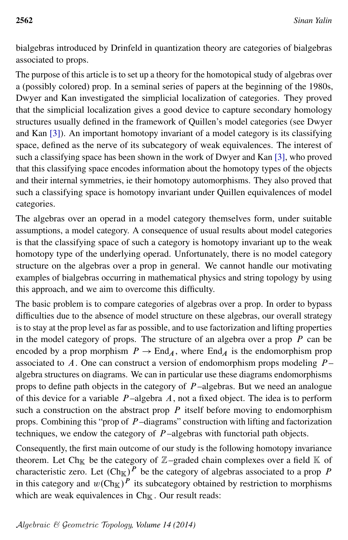bialgebras introduced by Drinfeld in quantization theory are categories of bialgebras associated to props.

The purpose of this article is to set up a theory for the homotopical study of algebras over a (possibly colored) prop. In a seminal series of papers at the beginning of the 1980s, Dwyer and Kan investigated the simplicial localization of categories. They proved that the simplicial localization gives a good device to capture secondary homology structures usually defined in the framework of Quillen's model categories (see Dwyer and Kan [\[3\]](#page-31-2)). An important homotopy invariant of a model category is its classifying space, defined as the nerve of its subcategory of weak equivalences. The interest of such a classifying space has been shown in the work of Dwyer and Kan [\[3\]](#page-31-2), who proved that this classifying space encodes information about the homotopy types of the objects and their internal symmetries, ie their homotopy automorphisms. They also proved that such a classifying space is homotopy invariant under Quillen equivalences of model categories.

The algebras over an operad in a model category themselves form, under suitable assumptions, a model category. A consequence of usual results about model categories is that the classifying space of such a category is homotopy invariant up to the weak homotopy type of the underlying operad. Unfortunately, there is no model category structure on the algebras over a prop in general. We cannot handle our motivating examples of bialgebras occurring in mathematical physics and string topology by using this approach, and we aim to overcome this difficulty.

The basic problem is to compare categories of algebras over a prop. In order to bypass difficulties due to the absence of model structure on these algebras, our overall strategy is to stay at the prop level as far as possible, and to use factorization and lifting properties in the model category of props. The structure of an algebra over a prop  $P$  can be encoded by a prop morphism  $P \to \text{End}_A$ , where  $\text{End}_A$  is the endomorphism prop associated to A. One can construct a version of endomorphism props modeling  $P$ algebra structures on diagrams. We can in particular use these diagrams endomorphisms props to define path objects in the category of  $P$ -algebras. But we need an analogue of this device for a variable  $P$ -algebra  $A$ , not a fixed object. The idea is to perform such a construction on the abstract prop  $P$  itself before moving to endomorphism props. Combining this "prop of  $P$ -diagrams" construction with lifting and factorization techniques, we endow the category of  $P$ -algebras with functorial path objects.

<span id="page-1-0"></span>Consequently, the first main outcome of our study is the following homotopy invariance theorem. Let Ch<sub>K</sub> be the category of  $\mathbb{Z}-$ graded chain complexes over a field K of characteristic zero. Let  $(\text{Ch}_{\mathbb{K}})^P$  be the category of algebras associated to a prop P in this category and  $w(\text{Ch}_{\mathbb{K}})^P$  its subcategory obtained by restriction to morphisms which are weak equivalences in  $\text{Ch}_{\mathbb{K}}$ . Our result reads: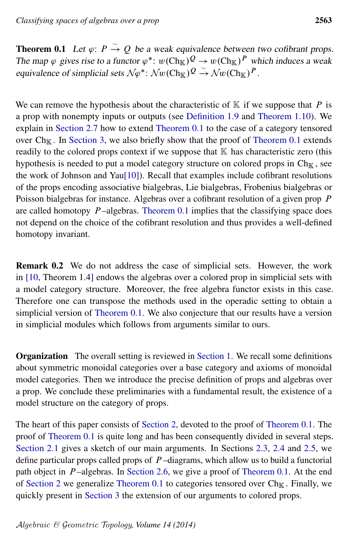**Theorem 0.1** Let  $\varphi$ :  $P \xrightarrow{\sim} Q$  be a weak equivalence between two cofibrant props. The map  $\varphi$  gives rise to a functor  $\varphi^*$ :  $w(\text{Ch}_{\mathbb{K}})^{\mathcal{Q}} \to w(\text{Ch}_{\mathbb{K}})^{\mathcal{P}}$  which induces a weak equivalence of simplicial sets  $N\varphi^*$ :  $\mathcal{N}w(\text{Ch}_{\mathbb{K}})^{\mathcal{Q}} \stackrel{\sim}{\rightarrow} \mathcal{N}w(\text{Ch}_{\mathbb{K}})^{\mathcal{P}}$ .

We can remove the hypothesis about the characteristic of  $K$  if we suppose that P is a prop with nonempty inputs or outputs (see [Definition 1.9](#page-8-0) and [Theorem 1.10\)](#page-8-1). We explain in [Section 2.7](#page-27-0) how to extend [Theorem 0.1](#page-1-0) to the case of a category tensored over  $Ch_{\mathbb{K}}$ . In [Section 3,](#page-28-0) we also briefly show that the proof of [Theorem 0.1](#page-1-0) extends readily to the colored props context if we suppose that  $K$  has characteristic zero (this hypothesis is needed to put a model category structure on colored props in  $Ch_{\mathbb{K}}$ , see the work of Johnson and Yau $[10]$ ). Recall that examples include cofibrant resolutions of the props encoding associative bialgebras, Lie bialgebras, Frobenius bialgebras or Poisson bialgebras for instance. Algebras over a cofibrant resolution of a given prop P are called homotopy  $P$ -algebras. [Theorem 0.1](#page-1-0) implies that the classifying space does not depend on the choice of the cofibrant resolution and thus provides a well-defined homotopy invariant.

Remark 0.2 We do not address the case of simplicial sets. However, the work in [\[10,](#page-32-2) Theorem 1.4] endows the algebras over a colored prop in simplicial sets with a model category structure. Moreover, the free algebra functor exists in this case. Therefore one can transpose the methods used in the operadic setting to obtain a simplicial version of [Theorem 0.1.](#page-1-0) We also conjecture that our results have a version in simplicial modules which follows from arguments similar to ours.

Organization The overall setting is reviewed in [Section 1.](#page-3-0) We recall some definitions about symmetric monoidal categories over a base category and axioms of monoidal model categories. Then we introduce the precise definition of props and algebras over a prop. We conclude these preliminaries with a fundamental result, the existence of a model structure on the category of props.

The heart of this paper consists of [Section 2,](#page-9-0) devoted to the proof of [Theorem 0.1.](#page-1-0) The proof of [Theorem 0.1](#page-1-0) is quite long and has been consequently divided in several steps. [Section 2.1](#page-9-1) gives a sketch of our main arguments. In Sections [2.3,](#page-15-0) [2.4](#page-16-0) and [2.5,](#page-20-0) we define particular props called props of  $P$ -diagrams, which allow us to build a functorial path object in  $P$ -algebras. In [Section 2.6,](#page-24-0) we give a proof of [Theorem 0.1.](#page-1-0) At the end of [Section 2](#page-9-0) we generalize [Theorem 0.1](#page-1-0) to categories tensored over  $Ch_K$ . Finally, we quickly present in [Section 3](#page-28-0) the extension of our arguments to colored props.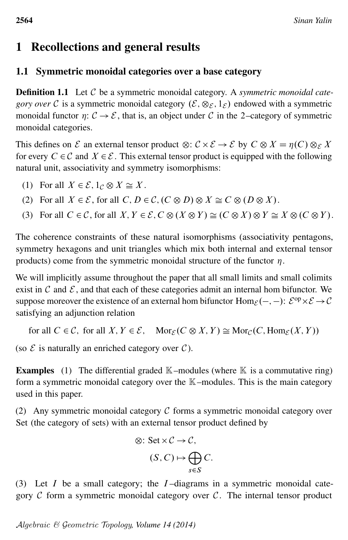# <span id="page-3-0"></span>1 Recollections and general results

## 1.1 Symmetric monoidal categories over a base category

Definition 1.1 Let C be a symmetric monoidal category. A *symmetric monoidal category over* C is a symmetric monoidal category  $(\mathcal{E}, \otimes_{\mathcal{E}}, 1_{\mathcal{E}})$  endowed with a symmetric monoidal functor  $\eta: \mathcal{C} \to \mathcal{E}$ , that is, an object under  $\mathcal{C}$  in the 2-category of symmetric monoidal categories.

This defines on  $\mathcal E$  an external tensor product  $\otimes : \mathcal C \times \mathcal E \to \mathcal E$  by  $C \otimes X = \eta(C) \otimes_{\mathcal E} X$ for every  $C \in \mathcal{C}$  and  $X \in \mathcal{E}$ . This external tensor product is equipped with the following natural unit, associativity and symmetry isomorphisms:

- (1) For all  $X \in \mathcal{E}$ ,  $1_C \otimes X \cong X$ .
- (2) For all  $X \in \mathcal{E}$ , for all  $C, D \in \mathcal{C}$ ,  $(C \otimes D) \otimes X \cong C \otimes (D \otimes X)$ .
- (3) For all  $C \in \mathcal{C}$ , for all  $X, Y \in \mathcal{E}, C \otimes (X \otimes Y) \cong (C \otimes X) \otimes Y \cong X \otimes (C \otimes Y)$ .

The coherence constraints of these natural isomorphisms (associativity pentagons, symmetry hexagons and unit triangles which mix both internal and external tensor products) come from the symmetric monoidal structure of the functor  $\eta$ .

We will implicitly assume throughout the paper that all small limits and small colimits exist in  $\mathcal C$  and  $\mathcal E$ , and that each of these categories admit an internal hom bifunctor. We suppose moreover the existence of an external hom bifunctor  $\text{Hom}_{\mathcal{E}}(-,-)$ :  $\mathcal{E}^{\text{op}} \times \mathcal{E} \to \mathcal{C}$ satisfying an adjunction relation

for all  $C \in \mathcal{C}$ , for all  $X, Y \in \mathcal{E}$ ,  $\text{Mor}_{\mathcal{E}}(C \otimes X, Y) \cong \text{Mor}_{\mathcal{C}}(C, \text{Hom}_{\mathcal{E}}(X, Y))$ 

(so  $\mathcal E$  is naturally an enriched category over  $\mathcal C$ ).

**Examples** (1) The differential graded  $\mathbb{K}$ -modules (where  $\mathbb{K}$  is a commutative ring) form a symmetric monoidal category over the  $K$ -modules. This is the main category used in this paper.

(2) Any symmetric monoidal category  $\mathcal C$  forms a symmetric monoidal category over Set (the category of sets) with an external tensor product defined by

$$
\otimes: \operatorname{Set} \times C \to C,
$$
  

$$
(S, C) \mapsto \bigoplus_{s \in S} C.
$$

(3) Let  $I$  be a small category; the  $I$ -diagrams in a symmetric monoidal category  $C$  form a symmetric monoidal category over  $C$ . The internal tensor product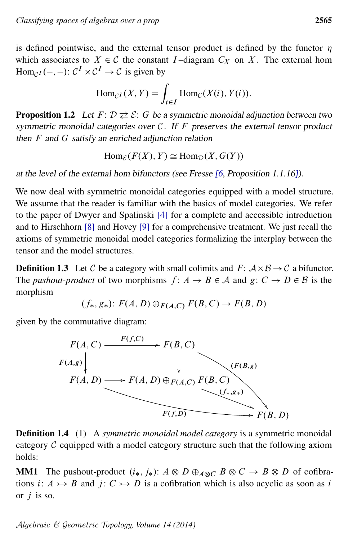is defined pointwise, and the external tensor product is defined by the functor  $\eta$ which associates to  $X \in \mathcal{C}$  the constant I-diagram  $C_X$  on X. The external hom Hom<sub>C</sub> $I(-,-)$ :  $C^{I} \times C^{I} \to C$  is given by

$$
\operatorname{Hom}_{\mathcal{C}^I}(X,Y) = \int_{i \in I} \operatorname{Hom}_{\mathcal{C}}(X(i), Y(i)).
$$

**Proposition 1.2** Let  $F: \mathcal{D} \rightleftarrows \mathcal{E}: G$  be a symmetric monoidal adjunction between two symmetric monoidal categories over  $C$ . If F preserves the external tensor product then  $F$  and  $G$  satisfy an enriched adjunction relation

 $\text{Hom}_{\mathcal{E}}(F(X), Y) \simeq \text{Hom}_{\mathcal{D}}(X, G(Y))$ 

at the level of the external hom bifunctors (see Fresse [\[6,](#page-32-3) Proposition 1.1.16]).

We now deal with symmetric monoidal categories equipped with a model structure. We assume that the reader is familiar with the basics of model categories. We refer to the paper of Dwyer and Spalinski [\[4\]](#page-32-4) for a complete and accessible introduction and to Hirschhorn [\[8\]](#page-32-5) and Hovey [\[9\]](#page-32-6) for a comprehensive treatment. We just recall the axioms of symmetric monoidal model categories formalizing the interplay between the tensor and the model structures.

**Definition 1.3** Let C be a category with small colimits and  $F: A \times B \rightarrow C$  a bifunctor. The *pushout-product* of two morphisms  $f: A \rightarrow B \in A$  and  $g: C \rightarrow D \in B$  is the morphism

$$
(f_*, g_*): F(A, D) \oplus_{F(A, C)} F(B, C) \rightarrow F(B, D)
$$

given by the commutative diagram:



Definition 1.4 (1) A *symmetric monoidal model category* is a symmetric monoidal category  $C$  equipped with a model category structure such that the following axiom holds:

<span id="page-4-0"></span>**MM1** The pushout-product  $(i_*, j_*)$ :  $A \otimes D \oplus_{A \otimes C} B \otimes C \rightarrow B \otimes D$  of cofibrations *i*:  $A \rightarrow B$  and *j*:  $C \rightarrow D$  is a cofibration which is also acyclic as soon as *i* or  $j$  is so.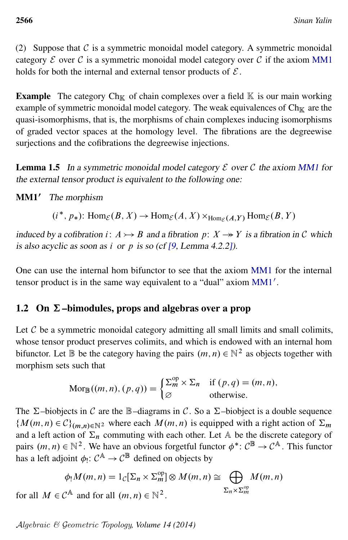(2) Suppose that  $C$  is a symmetric monoidal model category. A symmetric monoidal category  $\mathcal E$  over  $\mathcal C$  is a symmetric monoidal model category over  $\mathcal C$  if the axiom [MM1](#page-4-0) holds for both the internal and external tensor products of  $\mathcal{E}$ .

**Example** The category  $Ch_{\mathbb{K}}$  of chain complexes over a field  $\mathbb{K}$  is our main working example of symmetric monoidal model category. The weak equivalences of  $Ch_{\mathbb{K}}$  are the quasi-isomorphisms, that is, the morphisms of chain complexes inducing isomorphisms of graded vector spaces at the homology level. The fibrations are the degreewise surjections and the cofibrations the degreewise injections.

**Lemma 1.5** In a symmetric monoidal model category  $\mathcal E$  over  $\mathcal C$  the axiom [MM1](#page-4-0) for the external tensor product is equivalent to the following one:

<span id="page-5-0"></span>MM1' The morphism

 $(i^*, p_*)$ : Hom $_{\mathcal{E}}(B, X) \to \text{Hom}_{\mathcal{E}}(A, X) \times_{\text{Hom}_{\mathcal{E}}(A, Y)} \text{Hom}_{\mathcal{E}}(B, Y)$ 

induced by a cofibration i:  $A \rightarrow B$  and a fibration p:  $X \rightarrow Y$  is a fibration in C which is also acyclic as soon as i or p is so (cf  $[9, \text{Lemma } 4.2.2]$  $[9, \text{Lemma } 4.2.2]$ ).

One can use the internal hom bifunctor to see that the axiom [MM1](#page-4-0) for the internal tensor product is in the same way equivalent to a "dual" axiom  $MM1'$  $MM1'$ .

## 1.2 On  $\Sigma$ –bimodules, props and algebras over a prop

Let  $C$  be a symmetric monoidal category admitting all small limits and small colimits, whose tensor product preserves colimits, and which is endowed with an internal hom bifunctor. Let  $\mathbb B$  be the category having the pairs  $(m, n) \in \mathbb N^2$  as objects together with morphism sets such that

$$
Mor_{\mathbb{B}}((m, n), (p, q)) = \begin{cases} \sum_{m}^{op} \times \Sigma_{n} & \text{if } (p, q) = (m, n), \\ \varnothing & \text{otherwise.} \end{cases}
$$

The  $\Sigma$ –biobjects in C are the B–diagrams in C. So a  $\Sigma$ –biobject is a double sequence  ${M(m, n) \in C}_{(m, n) \in \mathbb{N}^2}$  where each  $M(m, n)$  is equipped with a right action of  $\Sigma_m$ and a left action of  $\Sigma_n$  commuting with each other. Let A be the discrete category of pairs  $(m, n) \in \mathbb{N}^2$ . We have an obvious forgetful functor  $\phi^* : \mathcal{C}^{\mathbb{B}} \to \mathcal{C}^{\mathbb{A}}$ . This functor has a left adjoint  $\phi_! \colon \mathcal{C}^{\mathbb{A}} \to \mathcal{C}^{\mathbb{B}}$  defined on objects by

$$
\phi_! M(m, n) = 1_{\mathcal{C}}[\Sigma_n \times \Sigma_m^{\text{op}}] \otimes M(m, n) \cong \bigoplus_{\Sigma_n \times \Sigma_m^{\text{op}}} M(m, n)
$$

for all  $M \in \mathcal{C}^{\mathbb{A}}$  and for all  $(m, n) \in \mathbb{N}^2$ .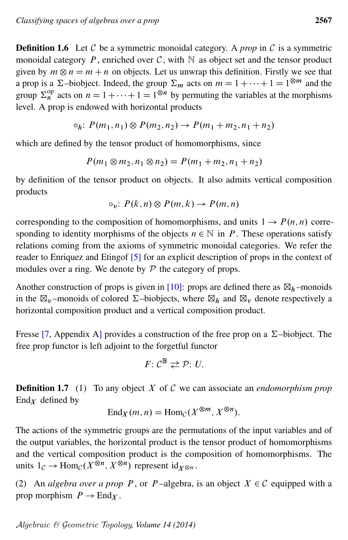**Definition 1.6** Let C be a symmetric monoidal category. A *prop* in C is a symmetric monoidal category P, enriched over C, with  $\mathbb N$  as object set and the tensor product given by  $m \otimes n = m + n$  on objects. Let us unwrap this definition. Firstly we see that a prop is a  $\Sigma$ –biobject. Indeed, the group  $\Sigma_m$  acts on  $m = 1 + \cdots + 1 = 1^{\otimes m}$  and the group  $\Sigma_n^{\text{op}}$  acts on  $n = 1 + \cdots + 1 = 1^{\otimes n}$  by permuting the variables at the morphisms level. A prop is endowed with horizontal products

$$
\circ_h: P(m_1, n_1) \otimes P(m_2, n_2) \to P(m_1 + m_2, n_1 + n_2)
$$

which are defined by the tensor product of homomorphisms, since

$$
P(m_1 \otimes m_2, n_1 \otimes n_2) = P(m_1 + m_2, n_1 + n_2)
$$

by definition of the tensor product on objects. It also admits vertical composition products

$$
\circ_v: P(k,n) \otimes P(m,k) \to P(m,n)
$$

corresponding to the composition of homomorphisms, and units  $1 \rightarrow P(n,n)$  corresponding to identity morphisms of the objects  $n \in \mathbb{N}$  in P. These operations satisfy relations coming from the axioms of symmetric monoidal categories. We refer the reader to Enriquez and Etingof [\[5\]](#page-32-7) for an explicit description of props in the context of modules over a ring. We denote by  $P$  the category of props.

Another construction of props is given in [\[10\]](#page-32-2): props are defined there as  $\boxtimes_h$ -monoids in the  $\boxtimes_v$ -monoids of colored  $\Sigma$ -biobjects, where  $\boxtimes_h$  and  $\boxtimes_v$  denote respectively a horizontal composition product and a vertical composition product.

Fresse [\[7,](#page-32-8) Appendix A] provides a construction of the free prop on a  $\Sigma$ –biobject. The free prop functor is left adjoint to the forgetful functor

$$
F: \mathcal{C}^{\mathbb{B}} \rightleftarrows \mathcal{P}: U.
$$

Definition 1.7 (1) To any object X of C we can associate an *endomorphism prop*  $\text{End}_X$  defined by

$$
End_X(m, n) = Hom_{\mathcal{C}}(X^{\otimes m}, X^{\otimes n}).
$$

The actions of the symmetric groups are the permutations of the input variables and of the output variables, the horizontal product is the tensor product of homomorphisms and the vertical composition product is the composition of homomorphisms. The units  $1_{\mathcal{C}} \to \text{Hom}_{\mathcal{C}}(X^{\otimes n}, X^{\otimes n})$  represent  $\text{id}_{X^{\otimes n}}$ .

(2) An *algebra over a prop* P, or P-algebra, is an object  $X \in \mathcal{C}$  equipped with a prop morphism  $P \to \text{End}_X$ .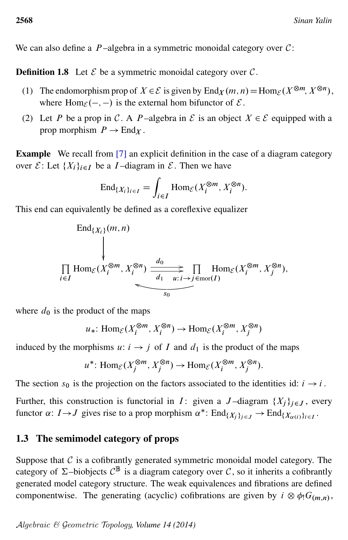We can also define a  $P$ -algebra in a symmetric monoidal category over  $C$ :

**Definition 1.8** Let  $\mathcal{E}$  be a symmetric monoidal category over  $\mathcal{C}$ .

- (1) The endomorphism prop of  $X \in \mathcal{E}$  is given by  $\text{End}_X(m, n) = \text{Hom}_{\mathcal{E}}(X^{\otimes m}, X^{\otimes n}),$ where Hom $\varepsilon$   $(-, -)$  is the external hom bifunctor of  $\varepsilon$ .
- (2) Let P be a prop in C. A P-algebra in E is an object  $X \in \mathcal{E}$  equipped with a prop morphism  $P \to \text{End}_X$ .

Example We recall from [\[7\]](#page-32-8) an explicit definition in the case of a diagram category over  $\mathcal{E}$ : Let  $\{X_i\}_{i\in I}$  be a *I*-diagram in  $\mathcal{E}$ . Then we have

$$
\operatorname{End}_{\{X_i\}_{i\in I}} = \int_{i\in I} \operatorname{Hom}_{\mathcal{E}}(X_i^{\otimes m}, X_i^{\otimes n}).
$$

This end can equivalently be defined as a coreflexive equalizer

$$
\text{End}_{\{X_i\}}(m, n)
$$
\n
$$
\downarrow
$$
\n
$$
\prod_{i \in I} \text{Hom}_{\mathcal{E}}(X_i^{\otimes m}, X_i^{\otimes n}) \xrightarrow{d_0} \overbrace{d_1 \quad u : i \to j \in \text{mor}(I)}^{\text{dom}_{\mathcal{E}}(X_i^{\otimes m}, X_j^{\otimes n})},
$$

where  $d_0$  is the product of the maps

$$
u_*\colon \text{Hom}_{\mathcal{E}}(X_i^{\otimes m}, X_i^{\otimes n}) \to \text{Hom}_{\mathcal{E}}(X_i^{\otimes m}, X_j^{\otimes n})
$$

induced by the morphisms  $u: i \rightarrow j$  of I and  $d_1$  is the product of the maps

$$
u^*
$$
: Hom $\varepsilon(X_j^{\otimes m}, X_j^{\otimes n}) \to \text{Hom}_{\mathcal{E}}(X_i^{\otimes m}, X_j^{\otimes n})$ .

The section  $s_0$  is the projection on the factors associated to the identities id:  $i \rightarrow i$ .

Further, this construction is functorial in I: given a J-diagram  $\{X_i\}_{i\in J}$ , every functor  $\alpha: I \rightarrow J$  gives rise to a prop morphism  $\alpha^*$ :  $\text{End}_{\{X_j\}_{j \in J}} \rightarrow \text{End}_{\{X_{\alpha(i)}\}_{i \in I}}$ .

#### 1.3 The semimodel category of props

Suppose that  $C$  is a cofibrantly generated symmetric monoidal model category. The category of  $\Sigma$ –biobjects  $C^{\mathbb{B}}$  is a diagram category over C, so it inherits a cofibrantly generated model category structure. The weak equivalences and fibrations are defined componentwise. The generating (acyclic) cofibrations are given by  $i \otimes \phi_! G_{(m,n)}$ ,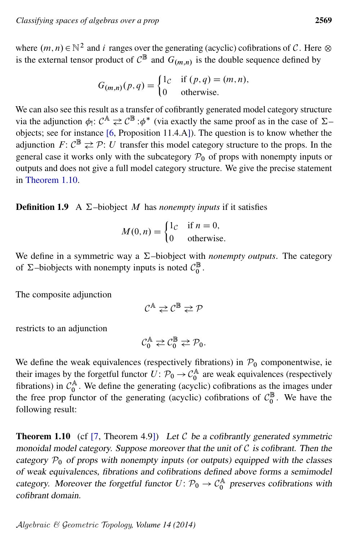where  $(m, n) \in \mathbb{N}^2$  and *i* ranges over the generating (acyclic) cofibrations of C. Here  $\otimes$ is the external tensor product of  $C^{\mathbb{B}}$  and  $G_{(m,n)}$  is the double sequence defined by

$$
G_{(m,n)}(p,q) = \begin{cases} 1_c & \text{if } (p,q) = (m,n), \\ 0 & \text{otherwise.} \end{cases}
$$

We can also see this result as a transfer of cofibrantly generated model category structure via the adjunction  $\phi_! \colon \mathcal{C}^{\mathbb{A}} \rightleftarrows \mathcal{C}^{\mathbb{B}} : \phi^*$  (via exactly the same proof as in the case of  $\Sigma$ objects; see for instance [\[6,](#page-32-3) Proposition 11.4.A]). The question is to know whether the adjunction  $F: \mathcal{C}^{\mathbb{B}} \rightleftarrows \mathcal{P}: U$  transfer this model category structure to the props. In the general case it works only with the subcategory  $P_0$  of props with nonempty inputs or outputs and does not give a full model category structure. We give the precise statement in [Theorem 1.10.](#page-8-1)

<span id="page-8-0"></span>**Definition 1.9** A  $\Sigma$ –biobject M has *nonempty inputs* if it satisfies

$$
M(0, n) = \begin{cases} 1_{\mathcal{C}} & \text{if } n = 0, \\ 0 & \text{otherwise.} \end{cases}
$$

We define in a symmetric way a  $\Sigma$ –biobject with *nonempty outputs*. The category of  $\Sigma$ –biobjects with nonempty inputs is noted  $C_0^{\mathbb{B}}$ .

The composite adjunction

$$
\mathcal{C}^{\mathbb{A}} \rightleftarrows \mathcal{C}^{\mathbb{B}} \rightleftarrows \mathcal{P}
$$

restricts to an adjunction

$$
\mathcal{C}_0^{\mathbb{A}} \rightleftarrows \mathcal{C}_0^{\mathbb{B}} \rightleftarrows \mathcal{P}_0.
$$

We define the weak equivalences (respectively fibrations) in  $P_0$  componentwise, ie their images by the forgetful functor  $U: \mathcal{P}_0 \to \mathcal{C}_0^{\mathbb{A}}$  are weak equivalences (respectively fibrations) in  $\mathcal{C}_0^{\mathbb{A}}$ . We define the generating (acyclic) cofibrations as the images under the free prop functor of the generating (acyclic) cofibrations of  $C_0^{\mathbb{B}}$ . We have the following result:

<span id="page-8-1"></span>**Theorem 1.10** (cf [\[7,](#page-32-8) Theorem 4.9]) Let C be a cofibrantly generated symmetric monoidal model category. Suppose moreover that the unit of  $C$  is cofibrant. Then the category  $P_0$  of props with nonempty inputs (or outputs) equipped with the classes of weak equivalences, fibrations and cofibrations defined above forms a semimodel category. Moreover the forgetful functor  $U: \mathcal{P}_0 \to \mathcal{C}_0^{\mathbb{A}}$  preserves cofibrations with cofibrant domain.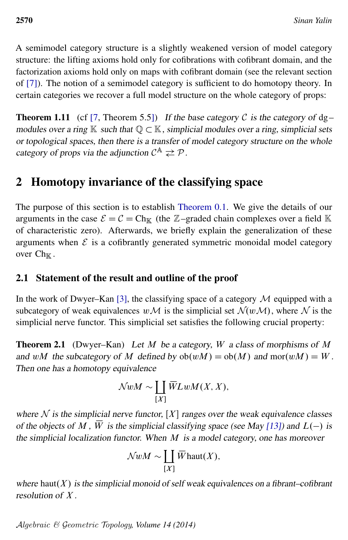A semimodel category structure is a slightly weakened version of model category structure: the lifting axioms hold only for cofibrations with cofibrant domain, and the factorization axioms hold only on maps with cofibrant domain (see the relevant section of [\[7\]](#page-32-8)). The notion of a semimodel category is sufficient to do homotopy theory. In certain categories we recover a full model structure on the whole category of props:

**Theorem 1.11** (cf [\[7,](#page-32-8) Theorem 5.5]) If the base category C is the category of  $dg$ modules over a ring  $\mathbb K$  such that  $\mathbb Q \subset \mathbb K$ , simplicial modules over a ring, simplicial sets or topological spaces, then there is a transfer of model category structure on the whole category of props via the adjunction  $C^{\mathbb{A}} \rightleftarrows \mathcal{P}$ .

## <span id="page-9-0"></span>2 Homotopy invariance of the classifying space

The purpose of this section is to establish [Theorem 0.1.](#page-1-0) We give the details of our arguments in the case  $\mathcal{E} = \mathcal{C} = Ch_{\mathbb{K}}$  (the Z–graded chain complexes over a field K of characteristic zero). Afterwards, we briefly explain the generalization of these arguments when  $\mathcal E$  is a cofibrantly generated symmetric monoidal model category over  $Ch_{\mathbb{K}}$ .

### <span id="page-9-1"></span>2.1 Statement of the result and outline of the proof

In the work of Dwyer–Kan [\[3\]](#page-31-2), the classifying space of a category  $M$  equipped with a subcategory of weak equivalences  $w \mathcal{M}$  is the simplicial set  $\mathcal{N}(w \mathcal{M})$ , where  $\mathcal N$  is the simplicial nerve functor. This simplicial set satisfies the following crucial property:

**Theorem 2.1** (Dwyer–Kan) Let  $M$  be a category,  $W$  a class of morphisms of  $M$ and wM the subcategory of M defined by  $ob(wM) = ob(M)$  and mor $(wM) = W$ . Then one has a homotopy equivalence

$$
\mathcal{N} w M \sim \coprod_{[X]} \overline{W} L w M (X,X),
$$

where  $N$  is the simplicial nerve functor,  $[X]$  ranges over the weak equivalence classes of the objects of M,  $\overline{W}$  is the simplicial classifying space (see May [\[13\]](#page-32-9)) and  $L(-)$  is the simplicial localization functor. When  $M$  is a model category, one has moreover

$$
\mathcal{N}wM \sim \coprod_{[X]} \overline{W}haut(X),
$$

where haut $(X)$  is the simplicial monoid of self weak equivalences on a fibrant–cofibrant resolution of X .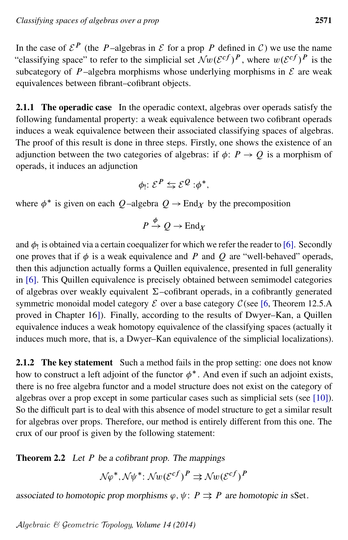In the case of  $\mathcal{E}^P$  (the P-algebras in  $\mathcal E$  for a prop P defined in C) we use the name "classifying space" to refer to the simplicial set  $\mathcal{N}w(\mathcal{E}^{cf})^P$ , where  $w(\mathcal{E}^{cf})^P$  is the subcategory of P-algebra morphisms whose underlying morphisms in  $\mathcal E$  are weak equivalences between fibrant–cofibrant objects.

2.1.1 The operadic case In the operadic context, algebras over operads satisfy the following fundamental property: a weak equivalence between two cofibrant operads induces a weak equivalence between their associated classifying spaces of algebras. The proof of this result is done in three steps. Firstly, one shows the existence of an adjunction between the two categories of algebras: if  $\phi: P \to Q$  is a morphism of operads, it induces an adjunction

$$
\phi_!\colon \mathcal{E}^P \leftrightarrows \mathcal{E}^Q : \phi^*,
$$

where  $\phi^*$  is given on each Q-algebra  $Q \to \text{End}_X$  by the precomposition

$$
P \xrightarrow{\phi} Q \to \text{End}_X
$$

and  $\phi_!$  is obtained via a certain coequalizer for which we refer the reader to [\[6\]](#page-32-3). Secondly one proves that if  $\phi$  is a weak equivalence and P and Q are "well-behaved" operads, then this adjunction actually forms a Quillen equivalence, presented in full generality in [\[6\]](#page-32-3). This Quillen equivalence is precisely obtained between semimodel categories of algebras over weakly equivalent  $\Sigma$ –cofibrant operads, in a cofibrantly generated symmetric monoidal model category  $\mathcal E$  over a base category  $\mathcal C$  (see [\[6,](#page-32-3) Theorem 12.5.A) proved in Chapter 16]). Finally, according to the results of Dwyer–Kan, a Quillen equivalence induces a weak homotopy equivalence of the classifying spaces (actually it induces much more, that is, a Dwyer–Kan equivalence of the simplicial localizations).

2.1.2 The key statement Such a method fails in the prop setting: one does not know how to construct a left adjoint of the functor  $\phi^*$ . And even if such an adjoint exists, there is no free algebra functor and a model structure does not exist on the category of algebras over a prop except in some particular cases such as simplicial sets (see [\[10\]](#page-32-2)). So the difficult part is to deal with this absence of model structure to get a similar result for algebras over props. Therefore, our method is entirely different from this one. The crux of our proof is given by the following statement:

<span id="page-10-0"></span>**Theorem 2.2** Let  $P$  be a cofibrant prop. The mappings

$$
\mathcal{N}\varphi^*, \mathcal{N}\psi^* \colon \mathcal{N}w(\mathcal{E}^{cf})^P \rightrightarrows \mathcal{N}w(\mathcal{E}^{cf})^P
$$

associated to homotopic prop morphisms  $\varphi, \psi \colon P \implies P$  are homotopic in sSet.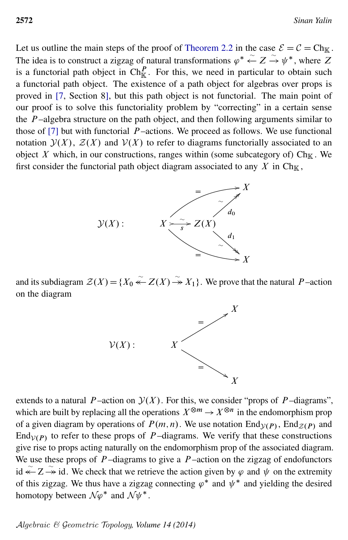Let us outline the main steps of the proof of [Theorem 2.2](#page-10-0) in the case  $\mathcal{E} = \mathcal{C} = Ch_{\mathbb{K}}$ . The idea is to construct a zigzag of natural transformations  $\varphi^* \stackrel{\sim}{\leftarrow} Z \stackrel{\sim}{\rightarrow} \psi^*$ , where Z is a functorial path object in  $\text{Ch}_{\mathbb{K}}^P$ . For this, we need in particular to obtain such a functorial path object. The existence of a path object for algebras over props is proved in [\[7,](#page-32-8) Section 8], but this path object is not functorial. The main point of our proof is to solve this functoriality problem by "correcting" in a certain sense the  $P$ -algebra structure on the path object, and then following arguments similar to those of  $[7]$  but with functorial  $P$ -actions. We proceed as follows. We use functional notation  $\mathcal{Y}(X)$ ,  $\mathcal{Z}(X)$  and  $\mathcal{V}(X)$  to refer to diagrams functorially associated to an object X which, in our constructions, ranges within (some subcategory of)  $\text{Ch}_{\mathbb{K}}$ . We first consider the functorial path object diagram associated to any  $X$  in Ch<sub>K</sub>,



and its subdiagram  $\mathcal{Z}(X) = \{X_0 \stackrel{\sim}{\leftarrow} Z(X) \stackrel{\sim}{\rightarrow} X_1\}$ . We prove that the natural P-action on the diagram



extends to a natural P-action on  $\mathcal{Y}(X)$ . For this, we consider "props of P-diagrams", which are built by replacing all the operations  $X^{\otimes m} \to X^{\otimes n}$  in the endomorphism prop of a given diagram by operations of  $P(m, n)$ . We use notation  $\text{End}_{\mathcal{Y}(P)}$ ,  $\text{End}_{\mathcal{Z}(P)}$  and End<sub> $V(P)$ </sub> to refer to these props of P-diagrams. We verify that these constructions give rise to props acting naturally on the endomorphism prop of the associated diagram. We use these props of  $P$ -diagrams to give a  $P$ -action on the zigzag of endofunctors id  $\widetilde{\leftarrow}$   $Z \rightarrow \widetilde{\leftarrow}$  id. We check that we retrieve the action given by  $\varphi$  and  $\psi$  on the extremity of this zigzag. We thus have a zigzag connecting  $\varphi^*$  and  $\psi^*$  and yielding the desired homotopy between  $\mathcal{N}\varphi^*$  and  $\mathcal{N}\psi^*$ .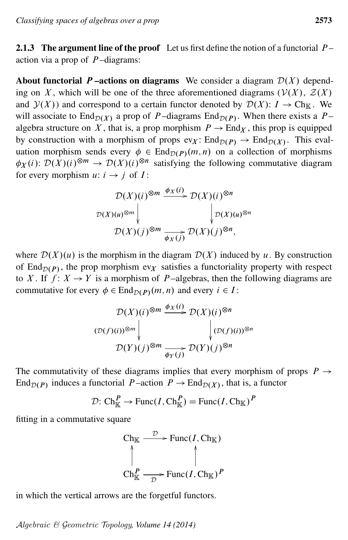<span id="page-12-0"></span>2.1.3 The argument line of the proof Let us first define the notion of a functorial  $P$ action via a prop of  $P$ -diagrams:

About functorial P-actions on diagrams We consider a diagram  $\mathcal{D}(X)$  depending on X, which will be one of the three aforementioned diagrams ( $V(X)$ ,  $Z(X)$ ) and  $\mathcal{Y}(X)$  and correspond to a certain functor denoted by  $\mathcal{D}(X)$ :  $I \to Ch_K$ . We will associate to End $_{\mathcal{D}(X)}$  a prop of P-diagrams End $_{\mathcal{D}(P)}$ . When there exists a Palgebra structure on X, that is, a prop morphism  $P \to \text{End}_X$ , this prop is equipped by construction with a morphism of props  $ev_X$ :  $End_{\mathcal{D}(P)} \to End_{\mathcal{D}(X)}$ . This evaluation morphism sends every  $\phi \in \text{End}_{\mathcal{D}(P)}(m, n)$  on a collection of morphisms  $\phi_X(i)$ :  $\mathcal{D}(X)(i)^{\otimes m} \to \mathcal{D}(X)(i)^{\otimes n}$  satisfying the following commutative diagram for every morphism  $u: i \rightarrow j$  of  $I$ :

$$
\mathcal{D}(X)(i)^{\otimes m} \xrightarrow{\phi_X(i)} \mathcal{D}(X)(i)^{\otimes n}
$$
  

$$
\mathcal{D}(X)(u)^{\otimes m} \downarrow \qquad \qquad \downarrow \mathcal{D}(X)(u)^{\otimes n}
$$
  

$$
\mathcal{D}(X)(j)^{\otimes m} \xrightarrow{\phi_X(j)} \mathcal{D}(X)(j)^{\otimes n},
$$

where  $\mathcal{D}(X)(u)$  is the morphism in the diagram  $\mathcal{D}(X)$  induced by u. By construction of End $_{\mathcal{D}(P)}$ , the prop morphism ev<sub>X</sub> satisfies a functoriality property with respect to X. If  $f: X \to Y$  is a morphism of P-algebras, then the following diagrams are commutative for every  $\phi \in \text{End}_{\mathcal{D}(P)}(m, n)$  and every  $i \in I$ :

$$
\mathcal{D}(X)(i)^{\otimes m} \xrightarrow{\phi_X(i)} \mathcal{D}(X)(i)^{\otimes n}
$$
  

$$
(\mathcal{D}(f)(i))^{\otimes m} \downarrow \qquad \qquad \downarrow (\mathcal{D}(f)(i))^{\otimes n}
$$
  

$$
\mathcal{D}(Y)(j)^{\otimes m} \xrightarrow{\phi_Y(j)} \mathcal{D}(Y)(j)^{\otimes n}
$$

The commutativity of these diagrams implies that every morphism of props  $P \rightarrow$ End $_{\mathcal{D}(P)}$  induces a functorial P-action  $P \to \text{End}_{\mathcal{D}(X)}$ , that is, a functor

$$
\mathcal{D} : \mathrm{Ch}_{\mathbb{K}}^P \to \mathrm{Func}(I, \mathrm{Ch}_{\mathbb{K}}^P) = \mathrm{Func}(I, \mathrm{Ch}_{\mathbb{K}})^P
$$

fitting in a commutative square

Ch<sub>K</sub> 
$$
\xrightarrow{\mathcal{D}}
$$
 Func(*I*, Ch<sub>K</sub>)  
\n
$$
\uparrow
$$
\nCh<sub>K</sub> $\xrightarrow{\mathcal{D}}$  Func(*I*, Ch<sub>K</sub>)<sup>*P*</sup>

in which the vertical arrows are the forgetful functors.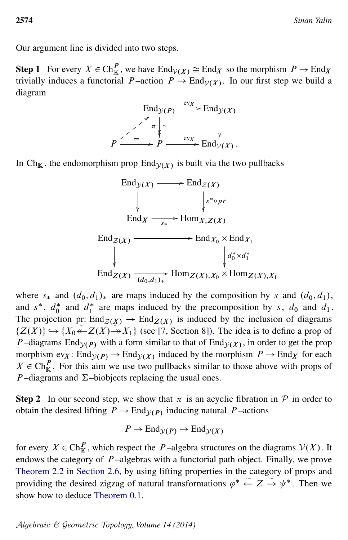Our argument line is divided into two steps.

**Step 1** For every  $X \in \text{Ch}_{\mathbb{K}}^P$ , we have  $\text{End}_{\mathcal{V}(X)} \cong \text{End}_X$  so the morphism  $P \to \text{End}_X$ trivially induces a functorial P-action  $P \to \text{End}_{\mathcal{V}(X)}$ . In our first step we build a diagram



In Ch<sub>K</sub>, the endomorphism prop End<sub> $y(X)$ </sub> is built via the two pullbacks



where  $s_*$  and  $(d_0, d_1)_*$  are maps induced by the composition by s and  $(d_0, d_1)$ , and  $s^*$ ,  $d_0^*$  $\int_0^*$  and  $d_1^*$  $_1^*$  are maps induced by the precomposition by s,  $d_0$  and  $d_1$ . The projection pr:  $\text{End}_{\mathcal{Z}(X)} \to \text{End}_{\mathcal{Z}(X)}$  is induced by the inclusion of diagrams  $\{Z(X)\}\hookrightarrow \{X_0 \stackrel{\sim}{\leftarrow} Z(X) \rightarrow X_1\}$  (see [\[7,](#page-32-8) Section 8]). The idea is to define a prop of *P*-diagrams End<sub> $y(P)$ </sub> with a form similar to that of End<sub> $y(X)$ </sub>, in order to get the prop morphism  $ev_X$ :  $End_{\mathcal{Y}(P)} \to End_{\mathcal{Y}(X)}$  induced by the morphism  $P \to End_X$  for each  $X \in \text{Ch}_{\mathbb{K}}^P$ . For this aim we use two pullbacks similar to those above with props of P-diagrams and  $\Sigma$ -biobjects replacing the usual ones.

**Step 2** In our second step, we show that  $\pi$  is an acyclic fibration in  $\mathcal{P}$  in order to obtain the desired lifting  $P \to \text{End}_{\mathcal{Y}(P)}$  inducing natural P-actions

$$
P \to \text{End}_{\mathcal{Y}(P)} \to \text{End}_{\mathcal{Y}(X)}
$$

for every  $X \in \text{Ch}_{\mathbb{K}}^P$ , which respect the P-algebra structures on the diagrams  $\mathcal{V}(X)$ . It endows the category of  $P$ -algebras with a functorial path object. Finally, we prove [Theorem 2.2](#page-10-0) in [Section 2.6,](#page-24-0) by using lifting properties in the category of props and providing the desired zigzag of natural transformations  $\varphi^* \stackrel{\sim}{\leftarrow} Z \stackrel{\sim}{\rightarrow} \psi^*$ . Then we show how to deduce [Theorem 0.1.](#page-1-0)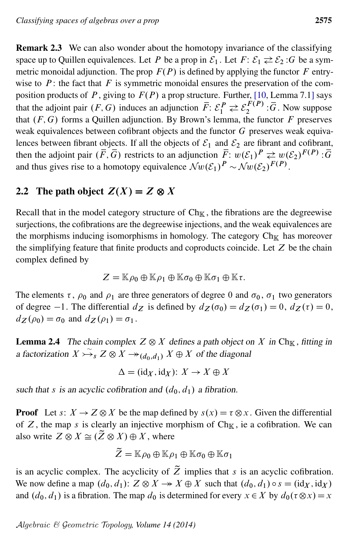Remark 2.3 We can also wonder about the homotopy invariance of the classifying space up to Quillen equivalences. Let P be a prop in  $\mathcal{E}_1$ . Let  $F: \mathcal{E}_1 \rightleftarrows \mathcal{E}_2$ : G be a symmetric monoidal adjunction. The prop  $F(P)$  is defined by applying the functor F entrywise to  $P$ : the fact that  $F$  is symmetric monoidal ensures the preservation of the composition products of P, giving to  $F(P)$  a prop structure. Further, [\[10,](#page-32-2) Lemma 7.1] says that the adjoint pair  $(F, G)$  induces an adjunction  $\overline{F}$ :  $\mathcal{E}_1^P \rightleftarrows \mathcal{E}_2^{F(P)}$  $\frac{F(P)}{2}$ :  $\overline{G}$ . Now suppose that  $(F, G)$  forms a Quillen adjunction. By Brown's lemma, the functor F preserves weak equivalences between cofibrant objects and the functor G preserves weak equivalences between fibrant objects. If all the objects of  $\mathcal{E}_1$  and  $\mathcal{E}_2$  are fibrant and cofibrant, then the adjoint pair  $(\overline{F}, \overline{G})$  restricts to an adjunction  $\overline{F}$ :  $w(\mathcal{E}_1)^P \rightleftarrows w(\mathcal{E}_2)^{F(P)}$ :  $\overline{G}$ and thus gives rise to a homotopy equivalence  $\mathcal{N}w(\mathcal{E}_1)^P \sim \mathcal{N}w(\mathcal{E}_2)^{F(P)}$ .

## 2.2 The path object  $Z(X) = Z \otimes X$

Recall that in the model category structure of  $Ch_{\mathbb{K}}$ , the fibrations are the degreewise surjections, the cofibrations are the degreewise injections, and the weak equivalences are the morphisms inducing isomorphisms in homology. The category  $Ch_{\mathbb{K}}$  has moreover the simplifying feature that finite products and coproducts coincide. Let  $Z$  be the chain complex defined by

$$
Z = \mathbb{K}\rho_0 \oplus \mathbb{K}\rho_1 \oplus \mathbb{K}\sigma_0 \oplus \mathbb{K}\sigma_1 \oplus \mathbb{K}\tau.
$$

The elements  $\tau$ ,  $\rho_0$  and  $\rho_1$  are three generators of degree 0 and  $\sigma_0$ ,  $\sigma_1$  two generators of degree -1. The differential  $d_Z$  is defined by  $d_Z(\sigma_0) = d_Z(\sigma_1) = 0$ ,  $d_Z(\tau) = 0$ ,  $d_Z(\rho_0) = \sigma_0$  and  $d_Z(\rho_1) = \sigma_1$ .

**Lemma 2.4** The chain complex  $Z \otimes X$  defines a path object on X in Ch<sub>K</sub>, fitting in a factorization  $X \rightarrow \infty$   $X \rightarrow (d_0, d_1)$   $X \oplus X$  of the diagonal

$$
\Delta = (\mathrm{id}_X, \mathrm{id}_X) \colon X \to X \oplus X
$$

such that s is an acyclic cofibration and  $(d_0, d_1)$  a fibration.

**Proof** Let s:  $X \to Z \otimes X$  be the map defined by  $s(x) = \tau \otimes x$ . Given the differential of Z, the map s is clearly an injective morphism of  $Ch_{\mathbb{K}}$ , ie a cofibration. We can also write  $Z \otimes X \cong (\tilde{Z} \otimes X) \oplus X$ , where

$$
\widetilde{Z} = \mathbb{K}\rho_0 \oplus \mathbb{K}\rho_1 \oplus \mathbb{K}\sigma_0 \oplus \mathbb{K}\sigma_1
$$

is an acyclic complex. The acyclicity of  $\tilde{Z}$  implies that s is an acyclic cofibration. We now define a map  $(d_0, d_1)$ :  $Z \otimes X \rightarrow X \oplus X$  such that  $(d_0, d_1) \circ s = (id_X, id_X)$ and  $(d_0, d_1)$  is a fibration. The map  $d_0$  is determined for every  $x \in X$  by  $d_0(\tau \otimes x) = x$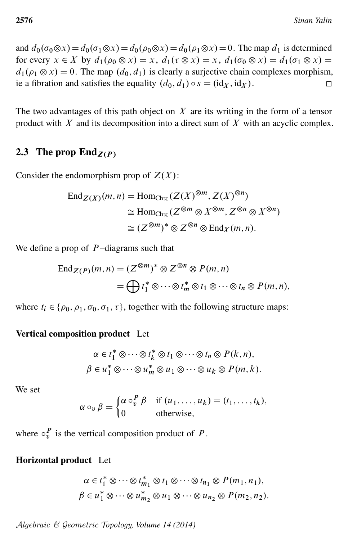and  $d_0(\sigma_0 \otimes x) = d_0(\sigma_1 \otimes x) = d_0(\rho_0 \otimes x) = d_0(\rho_1 \otimes x) = 0$ . The map  $d_1$  is determined for every  $x \in X$  by  $d_1(\rho_0 \otimes x) = x$ ,  $d_1(\tau \otimes x) = x$ ,  $d_1(\sigma_0 \otimes x) = d_1(\sigma_1 \otimes x) = x$  $d_1(\rho_1 \otimes x) = 0$ . The map  $(d_0, d_1)$  is clearly a surjective chain complexes morphism, ie a fibration and satisfies the equality  $(d_0, d_1) \circ s = (id_X, id_X)$ .  $\Box$ 

The two advantages of this path object on  $X$  are its writing in the form of a tensor product with  $X$  and its decomposition into a direct sum of  $X$  with an acyclic complex.

### <span id="page-15-0"></span>2.3 The prop  $\text{End}_{Z(P)}$

Consider the endomorphism prop of  $Z(X)$ :

$$
\operatorname{End}_{Z(X)}(m,n) = \operatorname{Hom}_{\operatorname{Ch}_{\mathbb{K}}}(Z(X)^{\otimes m}, Z(X)^{\otimes n})
$$
  
\n
$$
\cong \operatorname{Hom}_{\operatorname{Ch}_{\mathbb{K}}}(Z^{\otimes m} \otimes X^{\otimes m}, Z^{\otimes n} \otimes X^{\otimes n})
$$
  
\n
$$
\cong (Z^{\otimes m})^* \otimes Z^{\otimes n} \otimes \operatorname{End}_X(m,n).
$$

We define a prop of  $P$ -diagrams such that

$$
\operatorname{End}_{Z(P)}(m, n) = (Z^{\otimes m})^* \otimes Z^{\otimes n} \otimes P(m, n)
$$
  
=  $\bigoplus t_1^* \otimes \cdots \otimes t_m^* \otimes t_1 \otimes \cdots \otimes t_n \otimes P(m, n),$ 

where  $t_i \in \{\rho_0, \rho_1, \sigma_0, \sigma_1, \tau\}$ , together with the following structure maps:

#### Vertical composition product Let

$$
\alpha \in t_1^* \otimes \cdots \otimes t_k^* \otimes t_1 \otimes \cdots \otimes t_n \otimes P(k, n),
$$
  

$$
\beta \in u_1^* \otimes \cdots \otimes u_m^* \otimes u_1 \otimes \cdots \otimes u_k \otimes P(m, k).
$$

We set

$$
\alpha \circ_v \beta = \begin{cases} \alpha \circ_v^P \beta & \text{if } (u_1, \dots, u_k) = (t_1, \dots, t_k), \\ 0 & \text{otherwise,} \end{cases}
$$

where  $\circ_p^P$  is the vertical composition product of P.

#### Horizontal product Let

$$
\alpha \in t_1^* \otimes \cdots \otimes t_{m_1}^* \otimes t_1 \otimes \cdots \otimes t_{n_1} \otimes P(m_1, n_1),
$$
  

$$
\beta \in u_1^* \otimes \cdots \otimes u_{m_2}^* \otimes u_1 \otimes \cdots \otimes u_{n_2} \otimes P(m_2, n_2).
$$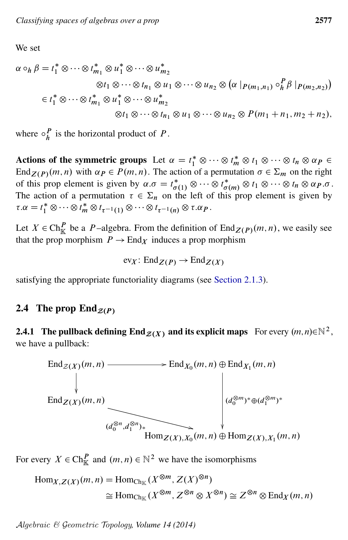We set

$$
\alpha \circ_h \beta = t_1^* \otimes \cdots \otimes t_{m_1}^* \otimes u_1^* \otimes \cdots \otimes u_{m_2}^*
$$
  

$$
\otimes t_1 \otimes \cdots \otimes t_{n_1} \otimes u_1 \otimes \cdots \otimes u_{n_2} \otimes (\alpha | p_{(m_1, n_1)} \circ_h^P \beta | p_{(m_2, n_2)})
$$
  

$$
\in t_1^* \otimes \cdots \otimes t_{m_1}^* \otimes u_1^* \otimes \cdots \otimes u_{m_2}^*
$$
  

$$
\otimes t_1 \otimes \cdots \otimes t_{n_1} \otimes u_1 \otimes \cdots \otimes u_{n_2} \otimes P(m_1 + n_1, m_2 + n_2),
$$

where  $\circ^P_h$  $\frac{P}{h}$  is the horizontal product of P.

Actions of the symmetric groups Let  $\alpha = t_1^* \otimes \cdots \otimes t_m \otimes t_1 \otimes \cdots \otimes t_n \otimes \alpha_P \in$ End<sub>Z(P)</sub>(m, n) with  $\alpha_P \in P(m, n)$ . The action of a permutation  $\sigma \in \Sigma_m$  on the right of this prop element is given by  $\alpha.\sigma = t_{\sigma(1)}^* \otimes \cdots \otimes t_{\sigma(m)}^* \otimes t_1 \otimes \cdots \otimes t_n \otimes \alpha_P.\sigma$ . The action of a permutation  $\tau \in \Sigma_n$  on the left of this prop element is given by  $\tau.\alpha = t_1^* \otimes \cdots \otimes t_m^* \otimes t_{\tau^{-1}(1)} \otimes \cdots \otimes t_{\tau^{-1}(n)} \otimes \tau.\alpha_P.$ 

Let  $X \in \text{Ch}_{\mathbb{K}}^P$  be a P-algebra. From the definition of  $\text{End}_{Z(P)}(m, n)$ , we easily see that the prop morphism  $P \to \text{End}_X$  induces a prop morphism

$$
\text{ev}_X\colon \text{End}_{Z(P)} \to \text{End}_{Z(X)}
$$

satisfying the appropriate functoriality diagrams (see [Section 2.1.3\)](#page-12-0).

### <span id="page-16-0"></span>2.4 The prop  $\text{End}_{\mathcal{Z}(P)}$

### <span id="page-16-1"></span>2.4.1 The pullback defining  $\text{End}_{\mathcal{Z}(X)}$  and its explicit maps For every  $(m,n){\in}\mathbb{N}^2$  , we have a pullback:



For every  $X \in \text{Ch}_{\mathbb{K}}^P$  and  $(m, n) \in \mathbb{N}^2$  we have the isomorphisms

$$
\text{Hom}_{X,Z(X)}(m,n) = \text{Hom}_{\text{Ch}_{\mathbb{K}}}(X^{\otimes m}, Z(X)^{\otimes n})
$$
  
\n
$$
\cong \text{Hom}_{\text{Ch}_{\mathbb{K}}}(X^{\otimes m}, Z^{\otimes n} \otimes X^{\otimes n}) \cong Z^{\otimes n} \otimes \text{End}_X(m,n)
$$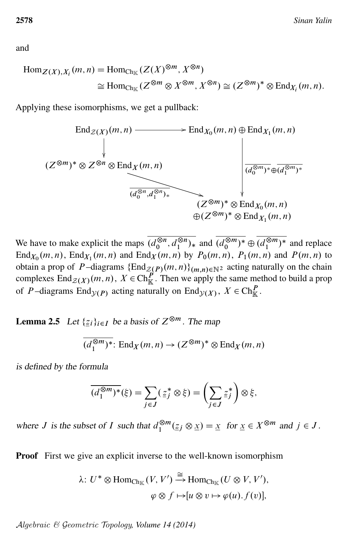and

$$
\text{Hom}_{Z(X),X_i}(m,n) = \text{Hom}_{\text{Ch}_{\mathbb{K}}}(Z(X)^{\otimes m}, X^{\otimes n})
$$
  
\n
$$
\cong \text{Hom}_{\text{Ch}_{\mathbb{K}}}(Z^{\otimes m} \otimes X^{\otimes m}, X^{\otimes n}) \cong (Z^{\otimes m})^* \otimes \text{End}_{X_i}(m,n).
$$

Applying these isomorphisms, we get a pullback:



We have to make explicit the maps  $\overline{(d_0^{\otimes n})}$  $\sqrt{\otimes n}, d_1^{\otimes n}$  $\sqrt{\frac{8n}{1}}$  and  $\overline{(d_0^{\otimes m})}$  $\overline{\overset{\otimes m}{\underset{0}{\otimes}}^{n}}$   $\oplus$   $\overline{(\overset{\otimes m}{\underset{1}{\cdot}}^{m}}$  $\binom{\otimes m}{1}^*$  and replace  $\text{End}_{X_0}(m, n)$ ,  $\text{End}_{X_1}(m, n)$  and  $\text{End}_X(m, n)$  by  $P_0(m, n)$ ,  $P_1(m, n)$  and  $P(m, n)$  to obtain a prop of P-diagrams  $\{\text{End}_{\mathcal{Z}(P)}(m,n)\}_{(m,n)\in\mathbb{N}^2}$  acting naturally on the chain complexes  $\text{End}_{\mathcal{Z}(X)}(m, n)$ ,  $X \in \text{Ch}_{\mathbb{K}}^P$ . Then we apply the same method to build a prop of P-diagrams End<sub> $y(P)$ </sub> acting naturally on End<sub> $y(X)$ </sub>,  $X \in \text{Ch}_{\mathbb{K}}^P$ .

<span id="page-17-0"></span>**Lemma 2.5** Let  $\{z_i\}_{i\in I}$  be a basis of  $Z^{\otimes m}$ . The map

$$
\overline{(d_1^{\otimes m})^*}:\text{End}_X(m,n)\to (Z^{\otimes m})^*\otimes \text{End}_X(m,n)
$$

is defined by the formula

$$
\overline{(d_1^{\otimes m})^*}(\xi) = \sum_{j \in J} (\underline{z}_j^* \otimes \xi) = \left(\sum_{j \in J} \underline{z}_j^*\right) \otimes \xi,
$$

where *J* is the subset of *I* such that  $d_1^{\otimes m}$  $\int_{1}^{\otimes m} (\underline{z}_j \otimes \underline{x}) = \underline{x}$  for  $\underline{x} \in X^{\otimes m}$  and  $j \in J$ .

**Proof** First we give an explicit inverse to the well-known isomorphism

$$
\lambda: U^* \otimes \text{Hom}_{\text{Ch}_{\mathbb{K}}}(V, V') \xrightarrow{\cong} \text{Hom}_{\text{Ch}_{\mathbb{K}}}(U \otimes V, V'),
$$

$$
\varphi \otimes f \mapsto [u \otimes v \mapsto \varphi(u), f(v)],
$$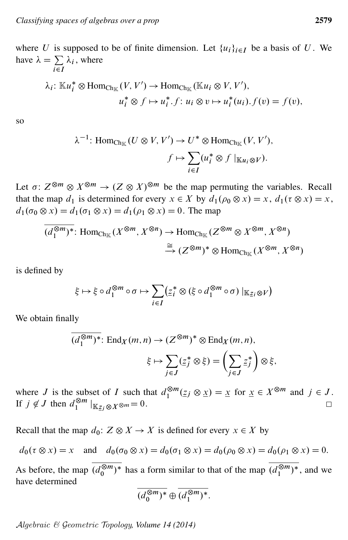where U is supposed to be of finite dimension. Let  $\{u_i\}_{i\in I}$  be a basis of U. We have  $\lambda = \sum$  $\sum_{i\in I}$  $\lambda_i$ , where

$$
\lambda_i: \mathbb{K}u_i^* \otimes \text{Hom}_{\text{Ch}_{\mathbb{K}}}(V, V') \to \text{Hom}_{\text{Ch}_{\mathbb{K}}}\left(\mathbb{K}u_i \otimes V, V'\right),
$$

$$
u_i^* \otimes f \mapsto u_i^*.f: u_i \otimes v \mapsto u_i^*(u_i).f(v) = f(v),
$$

so

$$
\lambda^{-1}: \text{Hom}_{\text{Ch}_{\mathbb{K}}}(U \otimes V, V') \to U^* \otimes \text{Hom}_{\text{Ch}_{\mathbb{K}}}(V, V'),
$$

$$
f \mapsto \sum_{i \in I} (u_i^* \otimes f \mid_{\mathbb{K}u_i \otimes V}).
$$

Let  $\sigma: Z^{\otimes m} \otimes X^{\otimes m} \to (Z \otimes X)^{\otimes m}$  be the map permuting the variables. Recall that the map  $d_1$  is determined for every  $x \in X$  by  $d_1(\rho_0 \otimes x) = x$ ,  $d_1(\tau \otimes x) = x$ ,  $d_1(\sigma_0 \otimes x) = d_1(\sigma_1 \otimes x) = d_1(\rho_1 \otimes x) = 0$ . The map

$$
\overline{(d_1^{\otimes m})^*} : \text{Hom}_{\text{Ch}_{\mathbb{K}}}(X^{\otimes m}, X^{\otimes n}) \to \text{Hom}_{\text{Ch}_{\mathbb{K}}}(Z^{\otimes m} \otimes X^{\otimes m}, X^{\otimes n})
$$
  

$$
\xrightarrow{\cong} (Z^{\otimes m})^* \otimes \text{Hom}_{\text{Ch}_{\mathbb{K}}}(X^{\otimes m}, X^{\otimes n})
$$

is defined by

$$
\xi \mapsto \xi \circ d_1^{\otimes m} \circ \sigma \mapsto \sum_{i \in I} (\underline{z}_i^* \otimes (\xi \circ d_1^{\otimes m} \circ \sigma) \mid_{\mathbb{K}_{\mathbb{Z}_i} \otimes V})
$$

We obtain finally

$$
\overline{(d_1^{\otimes m})^*} : \text{End}_X(m, n) \to (Z^{\otimes m})^* \otimes \text{End}_X(m, n),
$$

$$
\xi \mapsto \sum_{j \in J} (\underline{z}_j^* \otimes \xi) = \left(\sum_{j \in J} \underline{z}_j^*\right) \otimes \xi,
$$

where J is the subset of I such that  $d_1^{\otimes m}$  $\mathbb{R}^m \times \mathbb{Z}^m \times \mathbb{Z}^m \text{ for } \underline{x} \in X^{\otimes m} \text{ and } j \in J.$ If  $j \notin J$  then  $d_1^{\otimes m}$  $\int_{1}^{\otimes m}$   $|_{\mathbb{K}_{Z_j} \otimes X^{\otimes m}} = 0$ .  $\Box$ 

Recall that the map  $d_0: Z \otimes X \to X$  is defined for every  $x \in X$  by

 $d_0(\tau \otimes x) = x$  and  $d_0(\sigma_0 \otimes x) = d_0(\sigma_1 \otimes x) = d_0(\rho_0 \otimes x) = d_0(\rho_1 \otimes x) = 0.$ 

As before, the map  $\overline{(d_0^{\otimes m})}$  $\sqrt{\frac{\otimes m}{0}}$  has a form similar to that of the map  $\overline{(d_1^{\otimes m})^*}$  $\binom{\otimes m}{1}^*$ , and we have determined

$$
\overline{(d_0^{\otimes m})^*} \oplus \overline{(d_1^{\otimes m})^*}.
$$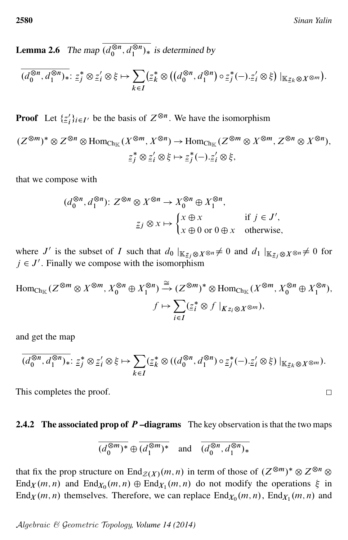<span id="page-19-0"></span>**Lemma 2.6** The map  $\overline{(d_0^{\otimes n})}$  $\sqrt{\otimes n}, d_1^{\otimes n}$  $j_{1}^{\infty n}$  is determined by

$$
\overline{(d_0^{\otimes n},d_1^{\otimes n})_*}: \underline{z}_j^* \otimes \underline{z}_i' \otimes \xi \mapsto \sum_{k \in I} (\underline{z}_k^* \otimes ((d_0^{\otimes n},d_1^{\otimes n}) \circ \underline{z}_j^*(-). \underline{z}_i' \otimes \xi) |_{\mathbb{K}_{\underline{z}_k} \otimes X^{\otimes m}}).
$$

**Proof** Let  $\{\underline{z}'_i\}$  $i<sub>i</sub>$ ) $i \in I'$  be the basis of  $Z^{\otimes n}$ . We have the isomorphism

$$
(Z^{\otimes m})^* \otimes Z^{\otimes n} \otimes \text{Hom}_{\text{Ch}_{\mathbb{K}}}(X^{\otimes m}, X^{\otimes n}) \to \text{Hom}_{\text{Ch}_{\mathbb{K}}}(Z^{\otimes m} \otimes X^{\otimes m}, Z^{\otimes n} \otimes X^{\otimes n}),
$$
  

$$
\underline{z}_j^* \otimes \underline{z}_i' \otimes \xi \mapsto \underline{z}_j^*(-). \underline{z}_i' \otimes \xi,
$$

that we compose with

$$
(d_0^{\otimes n}, d_1^{\otimes n})\colon Z^{\otimes n} \otimes X^{\otimes n} \to X_0^{\otimes n} \oplus X_1^{\otimes n},
$$
  

$$
\underline{z}_j \otimes x \mapsto \begin{cases} x \oplus x & \text{if } j \in J', \\ x \oplus 0 \text{ or } 0 \oplus x & \text{otherwise,} \end{cases}
$$

where J' is the subset of I such that  $d_0 |_{\mathbb{K}_{\mathbb{Z}_j} \otimes X^{\otimes n}} \neq 0$  and  $d_1 |_{\mathbb{K}_{\mathbb{Z}_j} \otimes X^{\otimes n}} \neq 0$  for  $j \in J'$ . Finally we compose with the isomorphism

$$
\text{Hom}_{\text{Ch}_{\mathbb{K}}}(Z^{\otimes m} \otimes X^{\otimes m}, X_0^{\otimes n} \oplus X_1^{\otimes n}) \xrightarrow{\cong} (Z^{\otimes m})^* \otimes \text{Hom}_{\text{Ch}_{\mathbb{K}}}(X^{\otimes m}, X_0^{\otimes n} \oplus X_1^{\otimes n}),
$$
\n
$$
f \mapsto \sum_{i \in I} (\underline{z}_i^* \otimes f \mid_{K_{Z_i} \otimes X^{\otimes m}}),
$$

and get the map

$$
\overline{(d_0^{\otimes n}, d_1^{\otimes n})_*}: \underline{z}_j^* \otimes \underline{z}_i' \otimes \xi \mapsto \sum_{k \in I} (\underline{z}_k^* \otimes ((d_0^{\otimes n}, d_1^{\otimes n}) \circ \underline{z}_j^* (-). \underline{z}_i' \otimes \xi) |_{\mathbb{K}_{\underline{z}_k \otimes X^{\otimes m}}}).
$$

This completes the proof.

#### 2.4.2 The associated prop of  $P$  –diagrams The key observation is that the two maps

$$
\overline{(d_0^{\otimes m})^*} \oplus \overline{(d_1^{\otimes m})^*} \quad \text{and} \quad \overline{(d_0^{\otimes n}, d_1^{\otimes n})^*}
$$

that fix the prop structure on  $\text{End}_{\mathcal{Z}(X)}(m,n)$  in term of those of  $(Z^{\otimes m})^* \otimes Z^{\otimes n} \otimes Z^{\otimes n}$ End<sub>X</sub> $(m, n)$  and End<sub>X<sub>0</sub></sub> $(m, n) \oplus$  End<sub>X<sub>1</sub></sub> $(m, n)$  do not modify the operations  $\xi$  in  $\text{End}_X(m, n)$  themselves. Therefore, we can replace  $\text{End}_{X_0}(m, n)$ ,  $\text{End}_{X_1}(m, n)$  and

$$
\Box
$$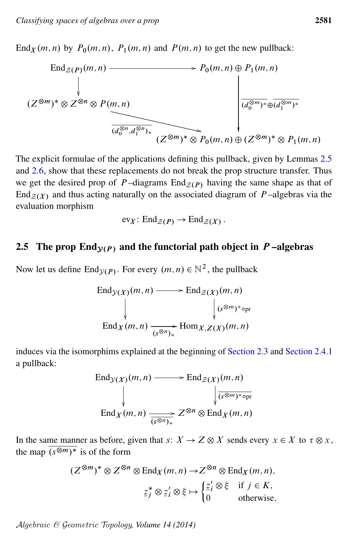End<sub>X</sub> $(m, n)$  by  $P_0(m, n)$ ,  $P_1(m, n)$  and  $P(m, n)$  to get the new pullback:



The explicit formulae of the applications defining this pullback, given by Lemmas [2.5](#page-17-0) and [2.6,](#page-19-0) show that these replacements do not break the prop structure transfer. Thus we get the desired prop of P-diagrams  $\text{End}_{\mathcal{Z}(P)}$  having the same shape as that of End<sub> $Z(X)$ </sub> and thus acting naturally on the associated diagram of P-algebras via the evaluation morphism

$$
\operatorname{ev}_X: \operatorname{End}_{\mathcal{Z}(P)} \to \operatorname{End}_{\mathcal{Z}(X)}.
$$

### <span id="page-20-0"></span>2.5 The prop End<sub> $V(P)$ </sub> and the functorial path object in P-algebras

Now let us define End $y(P)$ . For every  $(m, n) \in \mathbb{N}^2$ , the pullback

$$
\operatorname{End}_{\mathcal{Y}(X)}(m, n) \longrightarrow \operatorname{End}_{\mathcal{Z}(X)}(m, n)
$$
\n
$$
\downarrow \qquad \qquad \downarrow \qquad \qquad (\mathcal{S}^{\otimes m})^* \circ \text{pr}
$$
\n
$$
\operatorname{End}_X(m, n) \xrightarrow{\longrightarrow} \operatorname{Hom}_{X, Z(X)}(m, n)
$$

induces via the isomorphims explained at the beginning of [Section 2.3](#page-15-0) and [Section 2.4.1](#page-16-1) a pullback:

$$
\operatorname{End}_{\mathcal{Y}(X)}(m, n) \longrightarrow \operatorname{End}_{\mathcal{Z}(X)}(m, n)
$$
\n
$$
\downarrow \qquad \qquad \downarrow \qquad \qquad \downarrow
$$
\n
$$
\operatorname{End}_{X}(m, n) \longrightarrow Z^{\otimes n} \otimes \operatorname{End}_{X}(m, n)
$$

In the same manner as before, given that  $s: X \to Z \otimes X$  sends every  $x \in X$  to  $\tau \otimes x$ , the map  $(s^{\otimes m})^*$  is of the form

$$
(Z^{\otimes m})^* \otimes Z^{\otimes n} \otimes \text{End}_X(m, n) \to Z^{\otimes n} \otimes \text{End}_X(m, n),
$$
  

$$
\underline{z}_j^* \otimes \underline{z}_i' \otimes \xi \mapsto \begin{cases} \underline{z}_i' \otimes \xi & \text{if } j \in K, \\ 0 & \text{otherwise,} \end{cases}
$$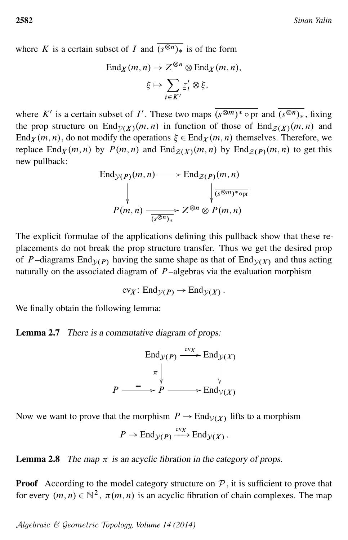where K is a certain subset of I and  $(s^{\otimes n})$  is of the form

$$
\operatorname{End}_X(m, n) \to Z^{\otimes n} \otimes \operatorname{End}_X(m, n),
$$

$$
\xi \mapsto \sum_{i \in K'} \underline{z}'_i \otimes \xi,
$$

where K' is a certain subset of I'. These two maps  $\overline{(s^{\otimes m})^* \circ \text{pr}}$  and  $\overline{(s^{\otimes n})_*}$ , fixing the prop structure on End $y(X)(m, n)$  in function of those of End $z(X)(m, n)$  and End<sub>X</sub>  $(m, n)$ , do not modify the operations  $\xi \in$  End<sub>X</sub>  $(m, n)$  themselves. Therefore, we replace End<sub>X</sub> $(m, n)$  by  $P(m, n)$  and End<sub>Z(X)</sub> $(m, n)$  by End<sub>Z(P)</sub> $(m, n)$  to get this new pullback:

$$
\text{End}_{\mathcal{Y}(P)}(m, n) \longrightarrow \text{End}_{\mathcal{Z}(P)}(m, n)
$$
\n
$$
\downarrow \qquad \qquad \downarrow \qquad \qquad \downarrow
$$
\n
$$
P(m, n) \longrightarrow Z^{\otimes n} \otimes P(m, n)
$$

The explicit formulae of the applications defining this pullback show that these replacements do not break the prop structure transfer. Thus we get the desired prop of P-diagrams End<sub>V(P)</sub> having the same shape as that of End<sub>V(X)</sub> and thus acting naturally on the associated diagram of  $P$ -algebras via the evaluation morphism

$$
\text{ev}_X\colon \text{End}_{\mathcal{Y}(P)} \to \text{End}_{\mathcal{Y}(X)}.
$$

We finally obtain the following lemma:

Lemma 2.7 There is a commutative diagram of props:

$$
\text{End}_{\mathcal{Y}(P)} \xrightarrow{\text{ev}_X} \text{End}_{\mathcal{Y}(X)}
$$
\n
$$
\pi \downarrow \qquad \qquad \downarrow
$$
\n
$$
P \xrightarrow{\qquad \qquad \qquad \uparrow} P \xrightarrow{\qquad \qquad \qquad \downarrow} \text{End}_{\mathcal{Y}(X)}
$$

Now we want to prove that the morphism  $P \to \text{End}_{\mathcal{V}(X)}$  lifts to a morphism

$$
P \to \mathrm{End}_{\mathcal{Y}(P)} \xrightarrow{\mathrm{ev}_X} \mathrm{End}_{\mathcal{Y}(X)}.
$$

<span id="page-21-0"></span>**Lemma 2.8** The map  $\pi$  is an acyclic fibration in the category of props.

**Proof** According to the model category structure on  $P$ , it is sufficient to prove that for every  $(m, n) \in \mathbb{N}^2$ ,  $\pi(m, n)$  is an acyclic fibration of chain complexes. The map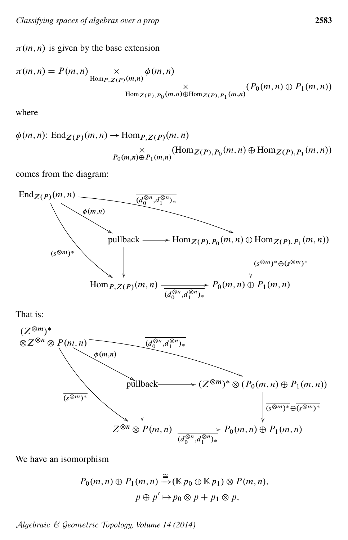$\pi(m, n)$  is given by the base extension

$$
\pi(m, n) = P(m, n) \underset{\text{Hom}_{P, Z(P)}(m, n)}{\times} \phi(m, n)
$$
  
 
$$
\times \underset{\text{Hom}_{Z(P), P_0}(m, n) \oplus \text{Hom}_{Z(P), P_1}(m, n)}{\times} (P_0(m, n) \oplus P_1(m, n))
$$

where

$$
\phi(m, n): \operatorname{End}_{Z(P)}(m, n) \to \operatorname{Hom}_{P, Z(P)}(m, n)
$$

$$
\times \leftarrow_{D(m, n) \oplus P_1(m, n)} (\operatorname{Hom}_{Z(P), P_0}(m, n) \oplus \operatorname{Hom}_{Z(P), P_1}(m, n))
$$

comes from the diagram:



That is:



We have an isomorphism

$$
P_0(m, n) \oplus P_1(m, n) \xrightarrow{\cong} (\mathbb{K} p_0 \oplus \mathbb{K} p_1) \otimes P(m, n),
$$

$$
p \oplus p' \mapsto p_0 \otimes p + p_1 \otimes p,
$$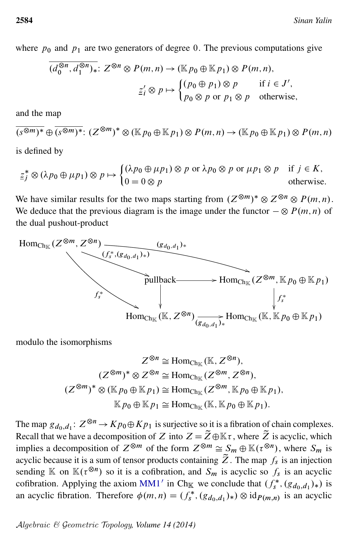where  $p_0$  and  $p_1$  are two generators of degree 0. The previous computations give

$$
\overline{(d_0^{\otimes n}, d_1^{\otimes n})_*}: Z^{\otimes n} \otimes P(m, n) \to (\mathbb{K}p_0 \oplus \mathbb{K}p_1) \otimes P(m, n),
$$
  

$$
\underline{z}'_i \otimes p \mapsto \begin{cases} (p_0 \oplus p_1) \otimes p & \text{if } i \in J', \\ p_0 \otimes p \text{ or } p_1 \otimes p & \text{otherwise,} \end{cases}
$$

and the map

$$
\overline{(s^{\otimes m})^*} \oplus \overline{(s^{\otimes m})^*} \colon (Z^{\otimes m})^* \otimes (\mathbb{K}p_0 \oplus \mathbb{K}p_1) \otimes P(m,n) \to (\mathbb{K}p_0 \oplus \mathbb{K}p_1) \otimes P(m,n)
$$

is defined by

$$
\underline{z}_{j}^{*} \otimes (\lambda p_{0} \oplus \mu p_{1}) \otimes p \mapsto \begin{cases} (\lambda p_{0} \oplus \mu p_{1}) \otimes p \text{ or } \lambda p_{0} \otimes p \text{ or } \mu p_{1} \otimes p & \text{if } j \in K, \\ 0 = 0 \otimes p & \text{otherwise.} \end{cases}
$$

We have similar results for the two maps starting from  $(Z^{\otimes m})^* \otimes Z^{\otimes n} \otimes P(m, n)$ . We deduce that the previous diagram is the image under the functor  $-\otimes P(m, n)$  of the dual pushout-product



modulo the isomorphisms

$$
Z^{\otimes n} \cong \text{Hom}_{\text{Ch}_{\mathbb{K}}}(\mathbb{K}, Z^{\otimes n}),
$$
  

$$
(Z^{\otimes m})^* \otimes Z^{\otimes n} \cong \text{Hom}_{\text{Ch}_{\mathbb{K}}}(Z^{\otimes m}, Z^{\otimes n}),
$$
  

$$
(Z^{\otimes m})^* \otimes (\mathbb{K}p_0 \oplus \mathbb{K}p_1) \cong \text{Hom}_{\text{Ch}_{\mathbb{K}}}(Z^{\otimes m}, \mathbb{K}p_0 \oplus \mathbb{K}p_1),
$$
  

$$
\mathbb{K}p_0 \oplus \mathbb{K}p_1 \cong \text{Hom}_{\text{Ch}_{\mathbb{K}}}(\mathbb{K}, \mathbb{K}p_0 \oplus \mathbb{K}p_1).
$$

The map  $g_{d_0,d_1}: Z^{\otimes n} \to Kp_0 \oplus Kp_1$  is surjective so it is a fibration of chain complexes. Recall that we have a decomposition of Z into  $Z = \widetilde{Z} \oplus \mathbb{K} \tau$ , where  $\widetilde{Z}$  is acyclic, which implies a decomposition of  $Z^{\otimes m}$  of the form  $Z^{\otimes m} \cong S_m \oplus \mathbb{K}(\tau^{\otimes n})$ , where  $S_m$  is acyclic because it is a sum of tensor products containing  $\tilde{Z}$ . The map  $f_s$  is an injection sending  $\mathbb K$  on  $\mathbb K(\tau^{\otimes n})$  so it is a cofibration, and  $S_m$  is acyclic so  $f_s$  is an acyclic cofibration. Applying the axiom [MM1](#page-5-0)' in Ch<sub>K</sub> we conclude that  $(f_s^*, (g_{d_0,d_1})_*)$  is an acyclic fibration. Therefore  $\phi(m,n) = (f_s^*, (g_{d_0,d_1})_*) \otimes id_{P(m,n)}$  is an acyclic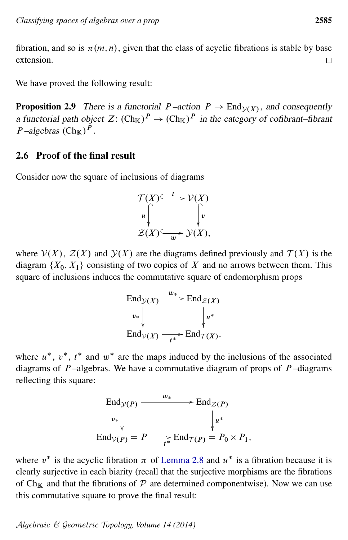fibration, and so is  $\pi(m, n)$ , given that the class of acyclic fibrations is stable by base extension.  $\Box$ 

<span id="page-24-1"></span>We have proved the following result:

**Proposition 2.9** There is a functorial  $P$ -action  $P \to \text{End}_{\mathcal{Y}(X)}$ , and consequently a functorial path object Z:  $(\text{Ch}_{\mathbb{K}})^P \to (\text{Ch}_{\mathbb{K}})^P$  in the category of cofibrant–fibrant *P*-algebras  $(Ch_{\mathbb{K}})^P$ .

#### <span id="page-24-0"></span>2.6 Proof of the final result

Consider now the square of inclusions of diagrams

$$
\mathcal{T}(X) \xrightarrow{t} \mathcal{V}(X)
$$
  
\n
$$
u \downarrow \qquad \qquad \downarrow v
$$
  
\n
$$
\mathcal{Z}(X) \xrightarrow{w} \mathcal{Y}(X),
$$

where  $V(X)$ ,  $Z(X)$  and  $Y(X)$  are the diagrams defined previously and  $T(X)$  is the diagram  $\{X_0, X_1\}$  consisting of two copies of X and no arrows between them. This square of inclusions induces the commutative square of endomorphism props

$$
\operatorname{End}_{\mathcal{Y}(X)} \xrightarrow{w_*} \operatorname{End}_{\mathcal{Z}(X)}
$$
\n
$$
\begin{array}{c} \n\vdots \\
\downarrow \nu_* \\
\downarrow \text{End}_{\mathcal{V}(X)} \xrightarrow[\tau^*]{} \operatorname{End}_{\mathcal{T}(X)},\n\end{array}
$$

where  $u^*$ ,  $v^*$ ,  $t^*$  and  $w^*$  are the maps induced by the inclusions of the associated diagrams of  $P$ -algebras. We have a commutative diagram of props of  $P$ -diagrams reflecting this square:

$$
\operatorname{End}_{\mathcal{Y}(P)} \xrightarrow{w_*} \operatorname{End}_{\mathcal{Z}(P)} \downarrow
$$
\n
$$
v_* \downarrow \qquad \qquad \downarrow u^*
$$
\n
$$
\operatorname{End}_{\mathcal{V}(P)} = P \longrightarrow \operatorname{End}_{\mathcal{T}(P)} = P_0 \times P_1,
$$

<span id="page-24-2"></span>where  $v^*$  is the acyclic fibration  $\pi$  of [Lemma 2.8](#page-21-0) and  $u^*$  is a fibration because it is clearly surjective in each biarity (recall that the surjective morphisms are the fibrations of Ch<sub>K</sub> and that the fibrations of  $P$  are determined componentwise). Now we can use this commutative square to prove the final result: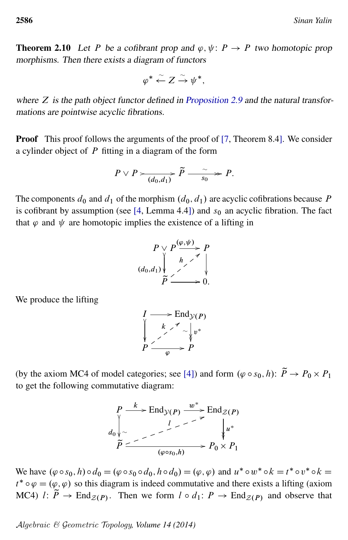**Theorem 2.10** Let P be a cofibrant prop and  $\varphi, \psi \colon P \to P$  two homotopic prop morphisms. Then there exists a diagram of functors

$$
\varphi^* \stackrel{\sim}{\leftarrow} Z \stackrel{\sim}{\rightarrow} \psi^*,
$$

where  $Z$  is the path object functor defined in [Proposition 2.9](#page-24-1) and the natural transformations are pointwise acyclic fibrations.

Proof This proof follows the arguments of the proof of [\[7,](#page-32-8) Theorem 8.4]. We consider a cylinder object of  $P$  fitting in a diagram of the form

$$
P \vee P \xrightarrow{\sim} \overrightarrow{(d_0,d_1)} \widetilde{P} \xrightarrow{\sim} P.
$$

The components  $d_0$  and  $d_1$  of the morphism  $(d_0, d_1)$  are acyclic cofibrations because P is cofibrant by assumption (see  $[4,$  Lemma 4.4]) and  $s_0$  an acyclic fibration. The fact that  $\varphi$  and  $\psi$  are homotopic implies the existence of a lifting in

$$
P \vee P \xrightarrow{\langle \varphi, \psi \rangle} P
$$
  
\n
$$
(d_0, d_1) \vee P
$$
  
\n
$$
\widetilde{P} \xrightarrow{\qquad \qquad } 0.
$$

We produce the lifting

$$
I \longrightarrow \text{End}_{\mathcal{Y}(P)} \\ \downarrow \qquad k \nearrow \\ \downarrow \qquad k \nearrow \\ \downarrow \qquad \downarrow v^* \\ P \xrightarrow{\qquad \qquad \downarrow} P
$$

(by the axiom MC4 of model categories; see [\[4\]](#page-32-4)) and form  $(\varphi \circ s_0, h)$ :  $\tilde{P} \to P_0 \times P_1$ to get the following commutative diagram:

$$
P \xrightarrow{k} \text{End}_{\mathcal{Y}(P)} \xrightarrow{w^*} \text{End}_{\mathcal{Z}(P)}
$$
  
\n
$$
d_0 \downarrow \sim \qquad \qquad \downarrow \qquad \qquad \downarrow \qquad \downarrow
$$
  
\n
$$
\widetilde{P} \xrightarrow{\qquad \qquad \downarrow \qquad \qquad \downarrow \qquad \downarrow \qquad \downarrow \qquad \downarrow \qquad \downarrow \qquad \downarrow \qquad \downarrow \qquad \downarrow \qquad \downarrow \qquad \downarrow \qquad \downarrow \qquad \downarrow \qquad \downarrow \qquad \downarrow \qquad \downarrow \qquad \downarrow \qquad \downarrow \qquad \downarrow \qquad \downarrow \qquad \downarrow \qquad \downarrow \qquad \downarrow \qquad \downarrow \qquad \downarrow \qquad \downarrow \qquad \downarrow \qquad \downarrow \qquad \downarrow \qquad \downarrow \qquad \downarrow \qquad \downarrow \qquad \downarrow \qquad \downarrow \qquad \downarrow \qquad \downarrow \qquad \downarrow \qquad \downarrow \qquad \downarrow \qquad \downarrow \qquad \downarrow \qquad \downarrow \qquad \downarrow \qquad \downarrow \qquad \downarrow \qquad \downarrow \qquad \downarrow \qquad \downarrow \qquad \downarrow \qquad \downarrow \qquad \downarrow \qquad \downarrow \qquad \downarrow \qquad \downarrow \qquad \downarrow \qquad \downarrow \qquad \downarrow \qquad \downarrow \qquad \downarrow \qquad \downarrow \qquad \downarrow \qquad \downarrow \qquad \downarrow \qquad \downarrow \qquad \downarrow \qquad \downarrow \qquad \downarrow \qquad \downarrow \qquad \downarrow \qquad \downarrow \qquad \downarrow \qquad \downarrow \qquad \downarrow \qquad \downarrow \qquad \downarrow \qquad \downarrow \qquad \downarrow \qquad \downarrow \qquad \downarrow \qquad \downarrow \qquad \downarrow \qquad \downarrow \qquad \downarrow \qquad \downarrow \qquad \downarrow \qquad \downarrow \qquad \downarrow \qquad \downarrow \qquad \downarrow \qquad \downarrow \qquad \downarrow \qquad \downarrow \qquad \downarrow \qquad \downarrow \qquad \downarrow \qquad \downarrow \qquad \downarrow \qquad \downarrow \qquad \downarrow \qquad \downarrow \qquad \downarrow \qquad \downarrow \qquad \downarrow \qquad \downarrow \qquad \downarrow \qquad \downarrow \qquad \downarrow \qquad \downarrow \
$$

We have  $(\varphi \circ s_0, h) \circ d_0 = (\varphi \circ s_0 \circ d_0, h \circ d_0) = (\varphi, \varphi)$  and  $u^* \circ w^* \circ k = t^* \circ v^* \circ k =$  $t^* \circ \varphi = (\varphi, \varphi)$  so this diagram is indeed commutative and there exists a lifting (axiom MC4)  $l: \widetilde{P} \to \text{End}_{\mathcal{Z}(P)}$ . Then we form  $l \circ d_1: P \to \text{End}_{\mathcal{Z}(P)}$  and observe that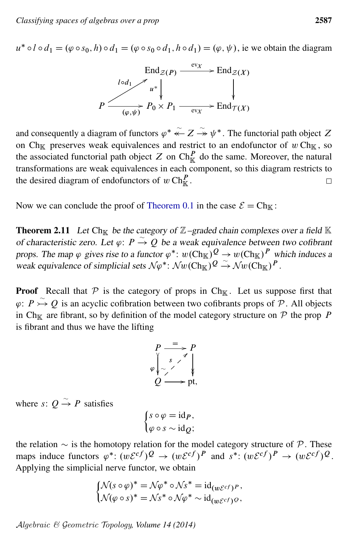$u^* \circ l \circ d_1 = (\varphi \circ s_0, h) \circ d_1 = (\varphi \circ s_0 \circ d_1, h \circ d_1) = (\varphi, \psi)$ , ie we obtain the diagram



and consequently a diagram of functors  $\varphi^* \stackrel{\sim}{\leftarrow} Z \stackrel{\sim}{\rightarrow} \psi^*$ . The functorial path object Z on Ch<sub>K</sub> preserves weak equivalences and restrict to an endofunctor of w Ch<sub>K</sub>, so the associated functorial path object Z on  $\text{Ch}_{\mathbb{K}}^P$  do the same. Moreover, the natural transformations are weak equivalences in each component, so this diagram restricts to the desired diagram of endofunctors of  $w \operatorname{Ch}_{\mathbb K}^P$ . □

Now we can conclude the proof of [Theorem 0.1](#page-1-0) in the case  $\mathcal{E} = Ch_{\mathbb{K}}$ :

**Theorem 2.11** Let Ch<sub>K</sub> be the category of  $\mathbb{Z}$ –graded chain complexes over a field K of characteristic zero. Let  $\varphi: P \overset{\sim}{\to} Q$  be a weak equivalence between two cofibrant props. The map  $\varphi$  gives rise to a functor  $\varphi^*$ :  $w(\text{Ch}_{\mathbb{K}}) \mathcal{Q} \to w(\text{Ch}_{\mathbb{K}}) \mathcal{P}$  which induces a weak equivalence of simplicial sets  $N\varphi^*$ :  $\mathcal{N}w(\mathrm{Ch}_\mathbb{K})^Q \xrightarrow{\sim} \mathcal{N}w(\mathrm{Ch}_\mathbb{K})^P$ .

**Proof** Recall that  $P$  is the category of props in Ch<sub>K</sub>. Let us suppose first that  $\varphi: P \rightarrow Q$  is an acyclic cofibration between two cofibrants props of P. All objects in Ch<sub>K</sub> are fibrant, so by definition of the model category structure on  $P$  the prop P is fibrant and thus we have the lifting

$$
P \xrightarrow{\equiv} P
$$
  
\n
$$
\varphi \downarrow \sim \qquad \qquad \downarrow
$$
  
\n
$$
Q \longrightarrow pt,
$$

where  $s: Q \overset{\sim}{\rightarrow} P$  satisfies

$$
\begin{cases} s \circ \varphi = \mathrm{id}_P, \\ \varphi \circ s \sim \mathrm{id}_Q; \end{cases}
$$

the relation  $\sim$  is the homotopy relation for the model category structure of P. These maps induce functors  $\varphi^* : (w\mathcal{E}^{cf})^Q \to (w\mathcal{E}^{cf})^P$  and  $s^* : (w\mathcal{E}^{cf})^P \to (w\mathcal{E}^{cf})^Q$ . Applying the simplicial nerve functor, we obtain

$$
\begin{cases}\n\mathcal{N}(s \circ \varphi)^* = \mathcal{N}\varphi^* \circ \mathcal{N}s^* = \mathrm{id}_{(w\mathcal{E}^{cf})^P}, \\
\mathcal{N}(\varphi \circ s)^* = \mathcal{N}s^* \circ \mathcal{N}\varphi^* \sim \mathrm{id}_{(w\mathcal{E}^{cf})^Q},\n\end{cases}
$$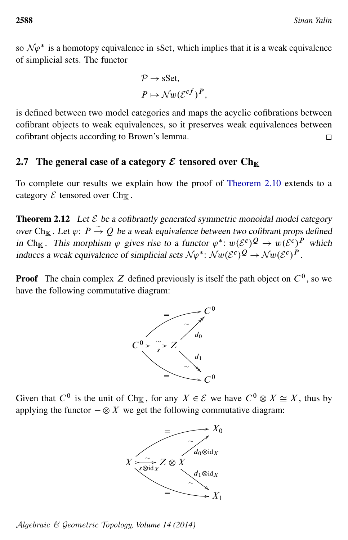so  $N\varphi^*$  is a homotopy equivalence in sSet, which implies that it is a weak equivalence of simplicial sets. The functor

$$
\mathcal{P} \to \text{sSet},
$$

$$
P \mapsto \mathcal{N}w(\mathcal{E}^{cf})^P,
$$

is defined between two model categories and maps the acyclic cofibrations between cofibrant objects to weak equivalences, so it preserves weak equivalences between cofibrant objects according to Brown's lemma.  $\Box$ 

#### <span id="page-27-0"></span>2.7 The general case of a category  $\mathcal E$  tensored over  $\mathrm{Ch}_\mathbb K$

To complete our results we explain how the proof of [Theorem 2.10](#page-24-2) extends to a category  $\mathcal E$  tensored over Ch<sub>K</sub>.

**Theorem 2.12** Let  $\mathcal{E}$  be a cofibrantly generated symmetric monoidal model category over Ch<sub>K</sub>. Let  $\varphi: P \overset{\sim}{\rightarrow} Q$  be a weak equivalence between two cofibrant props defined in Ch<sub>K</sub>. This morphism  $\varphi$  gives rise to a functor  $\varphi^*$ :  $w(\mathcal{E}^c)^Q \to w(\mathcal{E}^c)^P$  which induces a weak equivalence of simplicial sets  $N\varphi^*$ :  $\mathcal{N}w(\mathcal{E}^c)^{\mathcal{Q}} \to \mathcal{N}w(\mathcal{E}^c)^{\mathcal{P}}$ .

**Proof** The chain complex Z defined previously is itself the path object on  $C^0$ , so we have the following commutative diagram:



Given that  $C^0$  is the unit of Ch<sub>K</sub>, for any  $X \in \mathcal{E}$  we have  $C^0 \otimes X \cong X$ , thus by applying the functor  $-\otimes X$  we get the following commutative diagram:



Algebraic & Geometric Topology*, Volume 14 (2014)*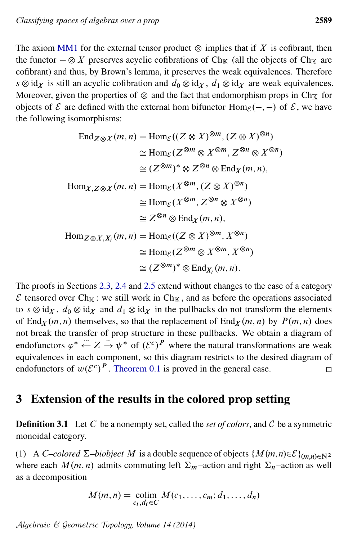The axiom [MM1](#page-4-0) for the external tensor product  $\otimes$  implies that if X is cofibrant, then the functor  $-\otimes X$  preserves acyclic cofibrations of Ch<sub>K</sub> (all the objects of Ch<sub>K</sub> are cofibrant) and thus, by Brown's lemma, it preserves the weak equivalences. Therefore  $s \otimes id_X$  is still an acyclic cofibration and  $d_0 \otimes id_X$ ,  $d_1 \otimes id_X$  are weak equivalences. Moreover, given the properties of  $\otimes$  and the fact that endomorphism props in Ch<sub>K</sub> for objects of  $\mathcal E$  are defined with the external hom bifunctor  $\text{Hom}_{\mathcal E}(-, -)$  of  $\mathcal E$ , we have the following isomorphisms:

$$
\operatorname{End}_{Z \otimes X}(m, n) = \operatorname{Hom}_{\mathcal{E}}((Z \otimes X)^{\otimes m}, (Z \otimes X)^{\otimes n})
$$
  
\n
$$
\cong \operatorname{Hom}_{\mathcal{E}}(Z^{\otimes m} \otimes X^{\otimes m}, Z^{\otimes n} \otimes X^{\otimes n})
$$
  
\n
$$
\cong (Z^{\otimes m})^* \otimes Z^{\otimes n} \otimes \operatorname{End}_X(m, n),
$$
  
\n
$$
\operatorname{Hom}_{X, Z \otimes X}(m, n) = \operatorname{Hom}_{\mathcal{E}}(X^{\otimes m}, (Z \otimes X)^{\otimes n})
$$
  
\n
$$
\cong \operatorname{Hom}_{\mathcal{E}}(X^{\otimes m}, Z^{\otimes n} \otimes X^{\otimes n})
$$
  
\n
$$
\cong Z^{\otimes n} \otimes \operatorname{End}_X(m, n),
$$
  
\n
$$
\operatorname{Hom}_{Z \otimes X, X_i}(m, n) = \operatorname{Hom}_{\mathcal{E}}((Z \otimes X)^{\otimes m}, X^{\otimes n})
$$
  
\n
$$
\cong \operatorname{Hom}_{\mathcal{E}}(Z^{\otimes m} \otimes X^{\otimes m}, X^{\otimes n})
$$
  
\n
$$
\cong (Z^{\otimes m})^* \otimes \operatorname{End}_{X_i}(m, n).
$$

The proofs in Sections [2.3,](#page-15-0) [2.4](#page-16-0) and [2.5](#page-20-0) extend without changes to the case of a category  $\mathcal E$  tensored over Ch<sub>K</sub>: we still work in Ch<sub>K</sub>, and as before the operations associated to  $s \otimes id_X$ ,  $d_0 \otimes id_X$  and  $d_1 \otimes id_X$  in the pullbacks do not transform the elements of End<sub>X</sub> $(m, n)$  themselves, so that the replacement of End<sub>X</sub> $(m, n)$  by  $P(m, n)$  does not break the transfer of prop structure in these pullbacks. We obtain a diagram of endofunctors  $\varphi^* \stackrel{\sim}{\leftarrow} Z \stackrel{\sim}{\rightarrow} \psi^*$  of  $({\mathcal{E}}^c)^P$  where the natural transformations are weak equivalences in each component, so this diagram restricts to the desired diagram of endofunctors of  $w(\mathcal{E}^c)^P$ . [Theorem 0.1](#page-1-0) is proved in the general case.  $\Box$ 

## <span id="page-28-0"></span>3 Extension of the results in the colored prop setting

**Definition 3.1** Let C be a nonempty set, called the *set of colors*, and C be a symmetric monoidal category.

(1) A C–colored  $\Sigma$ –biobject M is a double sequence of objects  $\{M(m,n)\in\mathcal{E}\}_{(m,n)\in\mathbb{N}^2}$ where each  $M(m, n)$  admits commuting left  $\Sigma_m$  –action and right  $\Sigma_n$  –action as well as a decomposition

$$
M(m,n) = \operatorname*{colim}_{c_i, d_i \in C} M(c_1, \ldots, c_m; d_1, \ldots, d_n)
$$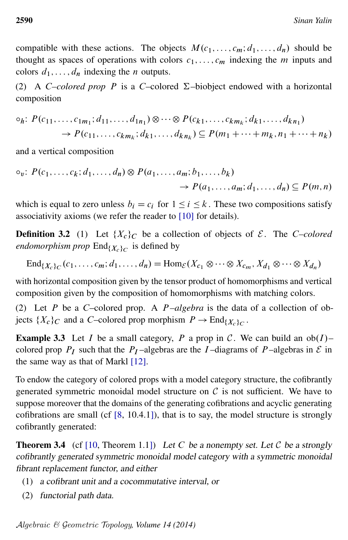compatible with these actions. The objects  $M(c_1, \ldots, c_m; d_1, \ldots, d_n)$  should be thought as spaces of operations with colors  $c_1, \ldots, c_m$  indexing the m inputs and colors  $d_1, \ldots, d_n$  indexing the *n* outputs.

(2) A C–colored prop P is a C–colored  $\Sigma$ –biobject endowed with a horizontal composition

$$
\circ_{h}: P(c_{11},...,c_{1m_{1}}; d_{11},...,d_{1n_{1}}) \otimes \cdots \otimes P(c_{k1},...,c_{km_{k}}; d_{k1},...,d_{kn_{1}}) \rightarrow P(c_{11},...,c_{km_{k}}; d_{k1},...,d_{kn_{k}}) \subseteq P(m_{1} + \cdots + m_{k}, n_{1} + \cdots + n_{k})
$$

and a vertical composition

$$
\begin{aligned} \circ_v: \, P(c_1, \ldots, c_k; d_1, \ldots, d_n) \otimes P(a_1, \ldots, a_m; b_1, \ldots, b_k) \\ &\to P(a_1, \ldots, a_m; d_1, \ldots, d_n) \subseteq P(m, n) \end{aligned}
$$

which is equal to zero unless  $b_i = c_i$  for  $1 \le i \le k$ . These two compositions satisfy associativity axioms (we refer the reader to [\[10\]](#page-32-2) for details).

**Definition 3.2** (1) Let  $\{X_c\}_c$  be a collection of objects of  $\mathcal{E}$ . The C–colored *endomorphism prop*  $\text{End}_{\{X_c\}_C}$  is defined by

 $\text{End}_{\{X_c\}_C}(c_1,\ldots,c_m;d_1,\ldots,d_n)=\text{Hom}_{\mathcal{E}}(X_{c_1}\otimes\cdots\otimes X_{c_m},X_{d_1}\otimes\cdots\otimes X_{d_n})$ 

with horizontal composition given by the tensor product of homomorphisms and vertical composition given by the composition of homomorphisms with matching colors.

(2) Let P be a C–colored prop. A  $P$ –algebra is the data of a collection of objects  $\{X_c\}_C$  and a C–colored prop morphism  $P \to \text{End}_{\{X_c\}_C}$ .

**Example 3.3** Let I be a small category, P a prop in C. We can build an  $ob(I)$ – colored prop  $P_I$  such that the  $P_I$ -algebras are the I-diagrams of P-algebras in  $\mathcal E$  in the same way as that of Markl [\[12\]](#page-32-10).

To endow the category of colored props with a model category structure, the cofibrantly generated symmetric monoidal model structure on  $\mathcal C$  is not sufficient. We have to suppose moreover that the domains of the generating cofibrations and acyclic generating cofibrations are small (cf [\[8,](#page-32-5) 10.4.1]), that is to say, the model structure is strongly cofibrantly generated:

<span id="page-29-0"></span>**Theorem 3.4** (cf [\[10,](#page-32-2) Theorem 1.1]) Let C be a nonempty set. Let C be a strongly cofibrantly generated symmetric monoidal model category with a symmetric monoidal fibrant replacement functor, and either

- (1) a cofibrant unit and a cocommutative interval, or
- (2) functorial path data.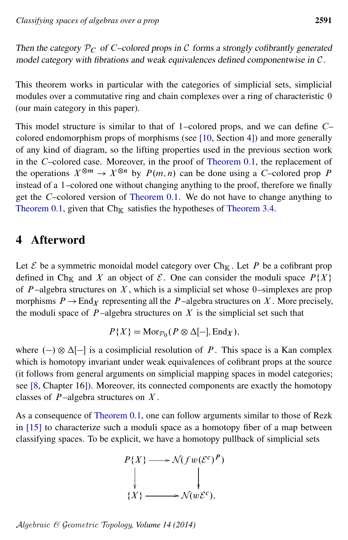Then the category  $P_C$  of C–colored props in C forms a strongly cofibrantly generated model category with fibrations and weak equivalences defined componentwise in C .

This theorem works in particular with the categories of simplicial sets, simplicial modules over a commutative ring and chain complexes over a ring of characteristic 0 (our main category in this paper).

This model structure is similar to that of 1–colored props, and we can define C– colored endomorphism props of morphisms (see [\[10,](#page-32-2) Section 4]) and more generally of any kind of diagram, so the lifting properties used in the previous section work in the C–colored case. Moreover, in the proof of [Theorem 0.1,](#page-1-0) the replacement of the operations  $X^{\otimes m} \to X^{\otimes n}$  by  $P(m, n)$  can be done using a C–colored prop P instead of a 1–colored one without changing anything to the proof, therefore we finally get the C–colored version of [Theorem 0.1.](#page-1-0) We do not have to change anything to [Theorem 0.1,](#page-1-0) given that  $Ch_{\mathbb{K}}$  satisfies the hypotheses of [Theorem 3.4.](#page-29-0)

## 4 Afterword

Let  $\mathcal E$  be a symmetric monoidal model category over Ch<sub>K</sub>. Let P be a cofibrant prop defined in Ch<sub>K</sub> and X an object of  $\mathcal{E}$ . One can consider the moduli space  $P\{X\}$ of  $P$ -algebra structures on  $X$ , which is a simplicial set whose 0-simplexes are prop morphisms  $P \to \text{End}_X$  representing all the P-algebra structures on X. More precisely, the moduli space of  $P$ -algebra structures on  $X$  is the simplicial set such that

$$
P\{X\} = \text{Mor}_{\mathcal{P}_0}(P \otimes \Delta[-], \text{End}_X),
$$

where  $(-) \otimes \Delta[-]$  is a cosimplicial resolution of P. This space is a Kan complex which is homotopy invariant under weak equivalences of cofibrant props at the source (it follows from general arguments on simplicial mapping spaces in model categories; see [\[8,](#page-32-5) Chapter 16]). Moreover, its connected components are exactly the homotopy classes of  $P$ -algebra structures on  $X$ .

As a consequence of [Theorem 0.1,](#page-1-0) one can follow arguments similar to those of Rezk in [\[15\]](#page-32-11) to characterize such a moduli space as a homotopy fiber of a map between classifying spaces. To be explicit, we have a homotopy pullback of simplicial sets

$$
P\{X\} \longrightarrow \mathcal{N}(fw(\mathcal{E}^c)^P)
$$
  
\n
$$
\downarrow \qquad \qquad \downarrow
$$
  
\n
$$
\{X\} \longrightarrow \mathcal{N}(w\mathcal{E}^c),
$$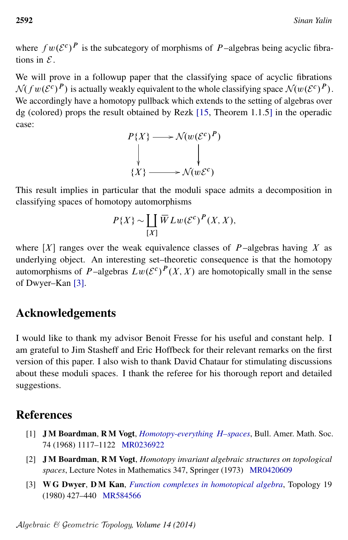where  $fw(\mathcal{E}^c)^P$  is the subcategory of morphisms of P-algebras being acyclic fibrations in  $\mathcal{E}$ 

We will prove in a followup paper that the classifying space of acyclic fibrations  $\mathcal{N}(fw(\mathcal{E}^c)^P)$  is actually weakly equivalent to the whole classifying space  $\mathcal{N}(w(\mathcal{E}^c)^P)$ . We accordingly have a homotopy pullback which extends to the setting of algebras over dg (colored) props the result obtained by Rezk [\[15,](#page-32-11) Theorem 1.1.5] in the operadic case:

$$
P\{X\} \longrightarrow \mathcal{N}(w(\mathcal{E}^c)^P)
$$
  
\n
$$
\downarrow \qquad \qquad \downarrow
$$
  
\n
$$
\{X\} \longrightarrow \mathcal{N}(w\mathcal{E}^c)
$$

This result implies in particular that the moduli space admits a decomposition in classifying spaces of homotopy automorphisms

$$
P\{X\} \sim \coprod_{[X]} \overline{W}Lw(\mathcal{E}^c)^P(X,X),
$$

where  $[X]$  ranges over the weak equivalence classes of P-algebras having X as underlying object. An interesting set–theoretic consequence is that the homotopy automorphisms of P-algebras  $Lw(\mathcal{E}^c)^P(X,X)$  are homotopically small in the sense of Dwyer–Kan [\[3\]](#page-31-2).

## Acknowledgements

I would like to thank my advisor Benoit Fresse for his useful and constant help. I am grateful to Jim Stasheff and Eric Hoffbeck for their relevant remarks on the first version of this paper. I also wish to thank David Chataur for stimulating discussions about these moduli spaces. I thank the referee for his thorough report and detailed suggestions.

# **References**

- <span id="page-31-0"></span>[1] J M Boardman, R M Vogt, *[Homotopy-everything](http://dx.doi.org/10.1090/S0002-9904-1968-12070-1)* H*–spaces*, Bull. Amer. Math. Soc. 74 (1968) 1117–1122 [MR0236922](http://www.ams.org/mathscinet-getitem?mr=0236922)
- <span id="page-31-1"></span>[2] J M Boardman, R M Vogt, *Homotopy invariant algebraic structures on topological spaces*, Lecture Notes in Mathematics 347, Springer (1973) [MR0420609](http://www.ams.org/mathscinet-getitem?mr=0420609)
- <span id="page-31-2"></span>[3] W G Dwyer, D M Kan, *[Function complexes in homotopical algebra](http://dx.doi.org/10.1016/0040-9383(80)90025-7)*, Topology 19 (1980) 427–440 [MR584566](http://www.ams.org/mathscinet-getitem?mr=584566)